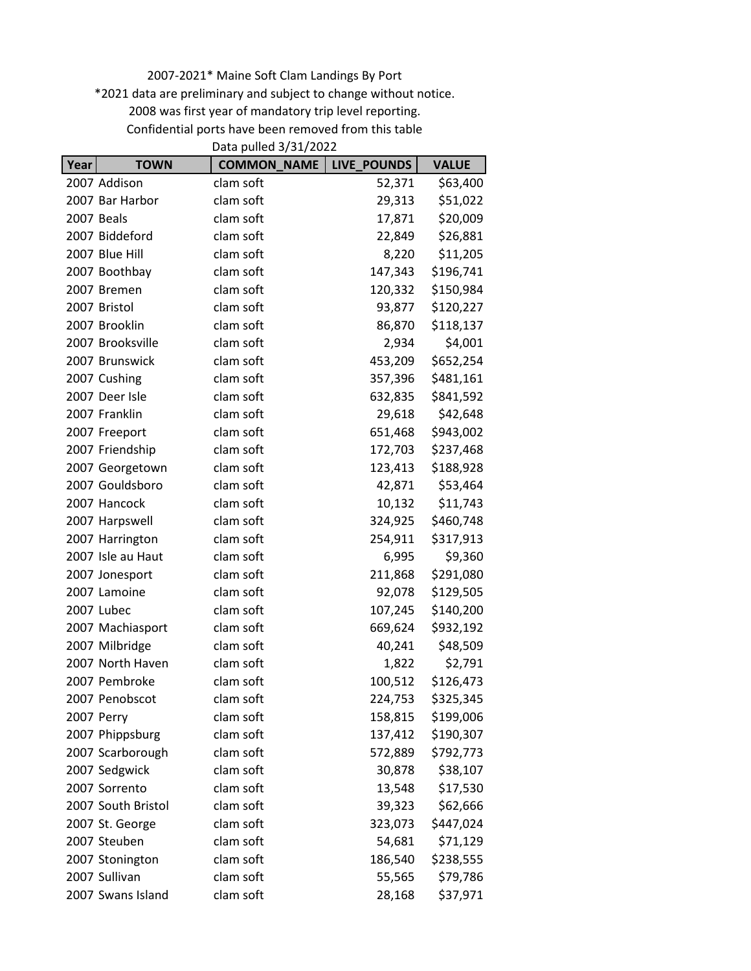2007-2021\* Maine Soft Clam Landings By Port \*2021 data are preliminary and subject to change without notice. 2008 was first year of mandatory trip level reporting. Confidential ports have been removed from this table

| Data pulled 3/31/2022 |                    |                    |             |              |
|-----------------------|--------------------|--------------------|-------------|--------------|
| Year                  | <b>TOWN</b>        | <b>COMMON_NAME</b> | LIVE_POUNDS | <b>VALUE</b> |
|                       | 2007 Addison       | clam soft          | 52,371      | \$63,400     |
|                       | 2007 Bar Harbor    | clam soft          | 29,313      | \$51,022     |
|                       | <b>2007 Beals</b>  | clam soft          | 17,871      | \$20,009     |
|                       | 2007 Biddeford     | clam soft          | 22,849      | \$26,881     |
|                       | 2007 Blue Hill     | clam soft          | 8,220       | \$11,205     |
|                       | 2007 Boothbay      | clam soft          | 147,343     | \$196,741    |
|                       | 2007 Bremen        | clam soft          | 120,332     | \$150,984    |
|                       | 2007 Bristol       | clam soft          | 93,877      | \$120,227    |
|                       | 2007 Brooklin      | clam soft          | 86,870      | \$118,137    |
|                       | 2007 Brooksville   | clam soft          | 2,934       | \$4,001      |
|                       | 2007 Brunswick     | clam soft          | 453,209     | \$652,254    |
|                       | 2007 Cushing       | clam soft          | 357,396     | \$481,161    |
|                       | 2007 Deer Isle     | clam soft          | 632,835     | \$841,592    |
|                       | 2007 Franklin      | clam soft          | 29,618      | \$42,648     |
|                       | 2007 Freeport      | clam soft          | 651,468     | \$943,002    |
|                       | 2007 Friendship    | clam soft          | 172,703     | \$237,468    |
|                       | 2007 Georgetown    | clam soft          | 123,413     | \$188,928    |
|                       | 2007 Gouldsboro    | clam soft          | 42,871      | \$53,464     |
|                       | 2007 Hancock       | clam soft          | 10,132      | \$11,743     |
|                       | 2007 Harpswell     | clam soft          | 324,925     | \$460,748    |
|                       | 2007 Harrington    | clam soft          | 254,911     | \$317,913    |
|                       | 2007 Isle au Haut  | clam soft          | 6,995       | \$9,360      |
|                       | 2007 Jonesport     | clam soft          | 211,868     | \$291,080    |
|                       | 2007 Lamoine       | clam soft          | 92,078      | \$129,505    |
|                       | 2007 Lubec         | clam soft          | 107,245     | \$140,200    |
|                       | 2007 Machiasport   | clam soft          | 669,624     | \$932,192    |
|                       | 2007 Milbridge     | clam soft          | 40,241      | \$48,509     |
|                       | 2007 North Haven   | clam soft          | 1,822       | \$2,791      |
|                       | 2007 Pembroke      | clam soft          | 100,512     | \$126,473    |
|                       | 2007 Penobscot     | clam soft          | 224,753     | \$325,345    |
|                       | 2007 Perry         | clam soft          | 158,815     | \$199,006    |
|                       | 2007 Phippsburg    | clam soft          | 137,412     | \$190,307    |
|                       | 2007 Scarborough   | clam soft          | 572,889     | \$792,773    |
|                       | 2007 Sedgwick      | clam soft          | 30,878      | \$38,107     |
|                       | 2007 Sorrento      | clam soft          | 13,548      | \$17,530     |
|                       | 2007 South Bristol | clam soft          | 39,323      | \$62,666     |
|                       | 2007 St. George    | clam soft          | 323,073     | \$447,024    |
|                       | 2007 Steuben       | clam soft          | 54,681      | \$71,129     |
|                       | 2007 Stonington    | clam soft          | 186,540     | \$238,555    |
|                       | 2007 Sullivan      | clam soft          | 55,565      | \$79,786     |
|                       | 2007 Swans Island  | clam soft          | 28,168      | \$37,971     |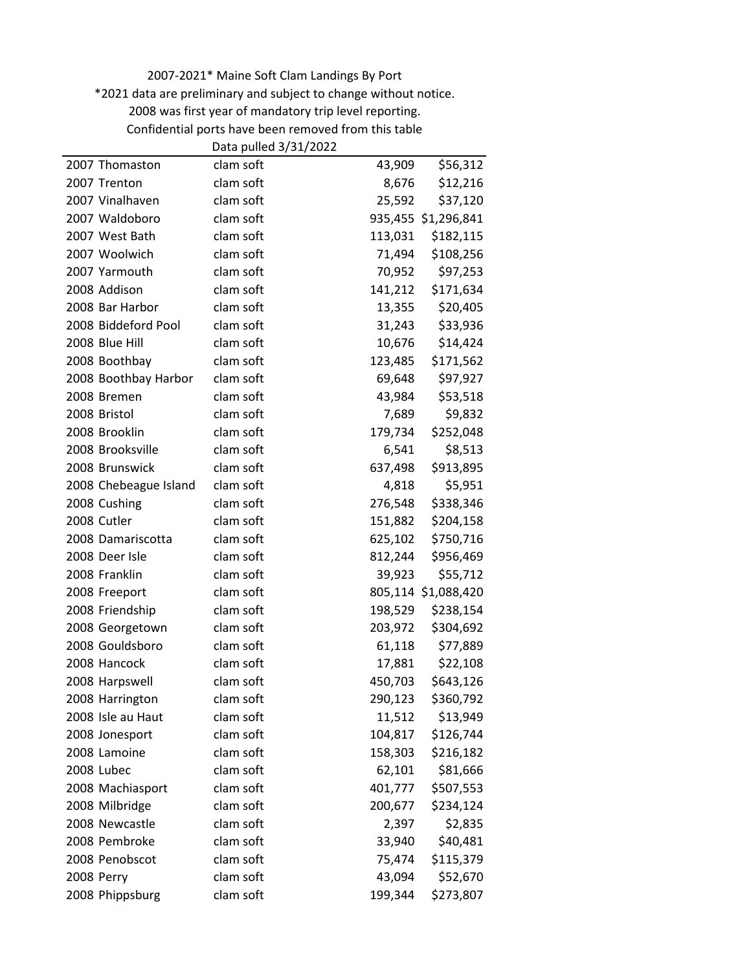\*2021 data are preliminary and subject to change without notice.

Confidential ports have been removed from this table

|                       | Data pulled 3/31/2022 |         |                     |
|-----------------------|-----------------------|---------|---------------------|
| 2007 Thomaston        | clam soft             | 43,909  | \$56,312            |
| 2007 Trenton          | clam soft             | 8,676   | \$12,216            |
| 2007 Vinalhaven       | clam soft             | 25,592  | \$37,120            |
| 2007 Waldoboro        | clam soft             |         | 935,455 \$1,296,841 |
| 2007 West Bath        | clam soft             | 113,031 | \$182,115           |
| 2007 Woolwich         | clam soft             | 71,494  | \$108,256           |
| 2007 Yarmouth         | clam soft             | 70,952  | \$97,253            |
| 2008 Addison          | clam soft             | 141,212 | \$171,634           |
| 2008 Bar Harbor       | clam soft             | 13,355  | \$20,405            |
| 2008 Biddeford Pool   | clam soft             | 31,243  | \$33,936            |
| 2008 Blue Hill        | clam soft             | 10,676  | \$14,424            |
| 2008 Boothbay         | clam soft             | 123,485 | \$171,562           |
| 2008 Boothbay Harbor  | clam soft             | 69,648  | \$97,927            |
| 2008 Bremen           | clam soft             | 43,984  | \$53,518            |
| 2008 Bristol          | clam soft             | 7,689   | \$9,832             |
| 2008 Brooklin         | clam soft             | 179,734 | \$252,048           |
| 2008 Brooksville      | clam soft             | 6,541   | \$8,513             |
| 2008 Brunswick        | clam soft             | 637,498 | \$913,895           |
| 2008 Chebeague Island | clam soft             | 4,818   | \$5,951             |
| 2008 Cushing          | clam soft             | 276,548 | \$338,346           |
| 2008 Cutler           | clam soft             | 151,882 | \$204,158           |
| 2008 Damariscotta     | clam soft             | 625,102 | \$750,716           |
| 2008 Deer Isle        | clam soft             | 812,244 | \$956,469           |
| 2008 Franklin         | clam soft             | 39,923  | \$55,712            |
| 2008 Freeport         | clam soft             |         | 805,114 \$1,088,420 |
| 2008 Friendship       | clam soft             | 198,529 | \$238,154           |
| 2008 Georgetown       | clam soft             | 203,972 | \$304,692           |
| 2008 Gouldsboro       | clam soft             | 61,118  | \$77,889            |
| 2008 Hancock          | clam soft             | 17,881  | \$22,108            |
| 2008 Harpswell        | clam soft             | 450,703 | \$643,126           |
| 2008 Harrington       | clam soft             | 290,123 | \$360,792           |
| 2008 Isle au Haut     | clam soft             | 11,512  | \$13,949            |
| 2008 Jonesport        | clam soft             | 104,817 | \$126,744           |
| 2008 Lamoine          | clam soft             | 158,303 | \$216,182           |
| 2008 Lubec            | clam soft             | 62,101  | \$81,666            |
| 2008 Machiasport      | clam soft             | 401,777 | \$507,553           |
| 2008 Milbridge        | clam soft             | 200,677 | \$234,124           |
| 2008 Newcastle        | clam soft             | 2,397   | \$2,835             |
| 2008 Pembroke         | clam soft             | 33,940  | \$40,481            |
| 2008 Penobscot        | clam soft             | 75,474  | \$115,379           |
| 2008 Perry            | clam soft             | 43,094  | \$52,670            |
| 2008 Phippsburg       | clam soft             | 199,344 | \$273,807           |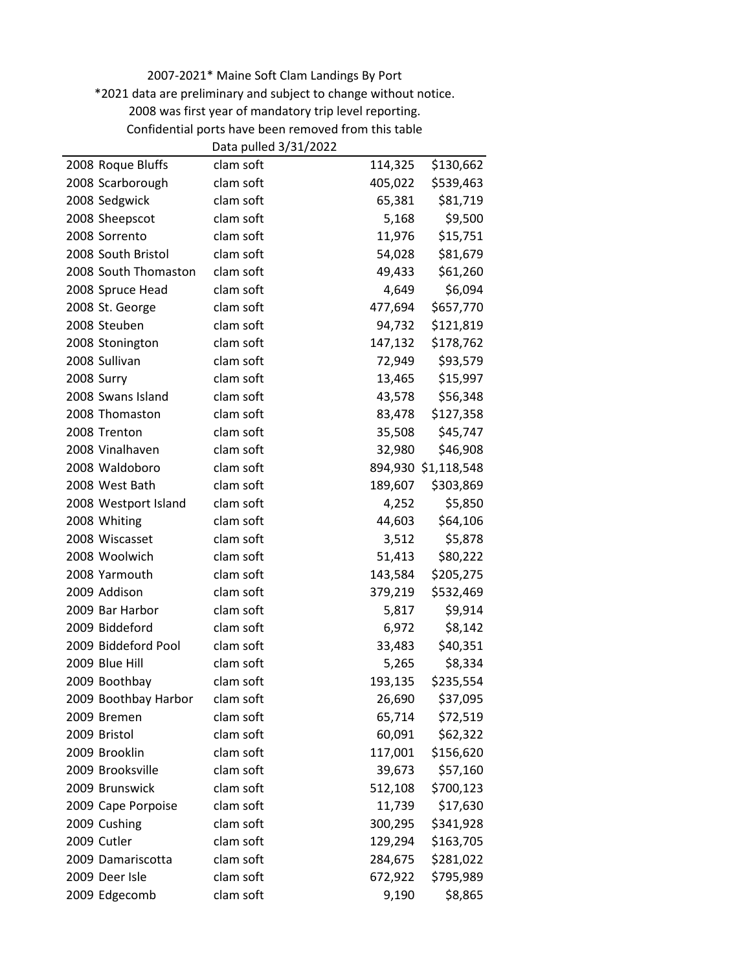2007-2021\* Maine Soft Clam Landings By Port \*2021 data are preliminary and subject to change without notice.

2008 was first year of mandatory trip level reporting.

Confidential ports have been removed from this table

|                      | Data pulled 3/31/2022 |         |                     |
|----------------------|-----------------------|---------|---------------------|
| 2008 Roque Bluffs    | clam soft             | 114,325 | \$130,662           |
| 2008 Scarborough     | clam soft             | 405,022 | \$539,463           |
| 2008 Sedgwick        | clam soft             | 65,381  | \$81,719            |
| 2008 Sheepscot       | clam soft             | 5,168   | \$9,500             |
| 2008 Sorrento        | clam soft             | 11,976  | \$15,751            |
| 2008 South Bristol   | clam soft             | 54,028  | \$81,679            |
| 2008 South Thomaston | clam soft             | 49,433  | \$61,260            |
| 2008 Spruce Head     | clam soft             | 4,649   | \$6,094             |
| 2008 St. George      | clam soft             | 477,694 | \$657,770           |
| 2008 Steuben         | clam soft             | 94,732  | \$121,819           |
| 2008 Stonington      | clam soft             | 147,132 | \$178,762           |
| 2008 Sullivan        | clam soft             | 72,949  | \$93,579            |
| 2008 Surry           | clam soft             | 13,465  | \$15,997            |
| 2008 Swans Island    | clam soft             | 43,578  | \$56,348            |
| 2008 Thomaston       | clam soft             | 83,478  | \$127,358           |
| 2008 Trenton         | clam soft             | 35,508  | \$45,747            |
| 2008 Vinalhaven      | clam soft             | 32,980  | \$46,908            |
| 2008 Waldoboro       | clam soft             |         | 894,930 \$1,118,548 |
| 2008 West Bath       | clam soft             | 189,607 | \$303,869           |
| 2008 Westport Island | clam soft             | 4,252   | \$5,850             |
| 2008 Whiting         | clam soft             | 44,603  | \$64,106            |
| 2008 Wiscasset       | clam soft             | 3,512   | \$5,878             |
| 2008 Woolwich        | clam soft             | 51,413  | \$80,222            |
| 2008 Yarmouth        | clam soft             | 143,584 | \$205,275           |
| 2009 Addison         | clam soft             | 379,219 | \$532,469           |
| 2009 Bar Harbor      | clam soft             | 5,817   | \$9,914             |
| 2009 Biddeford       | clam soft             | 6,972   | \$8,142             |
| 2009 Biddeford Pool  | clam soft             | 33,483  | \$40,351            |
| 2009 Blue Hill       | clam soft             | 5,265   | \$8,334             |
| 2009 Boothbay        | clam soft             | 193,135 | \$235,554           |
| 2009 Boothbay Harbor | clam soft             | 26,690  | \$37,095            |
| 2009 Bremen          | clam soft             | 65,714  | \$72,519            |
| 2009 Bristol         | clam soft             | 60,091  | \$62,322            |
| 2009 Brooklin        | clam soft             | 117,001 | \$156,620           |
| 2009 Brooksville     | clam soft             | 39,673  | \$57,160            |
| 2009 Brunswick       | clam soft             | 512,108 | \$700,123           |
| 2009 Cape Porpoise   | clam soft             | 11,739  | \$17,630            |
| 2009 Cushing         | clam soft             | 300,295 | \$341,928           |
| 2009 Cutler          | clam soft             | 129,294 | \$163,705           |
| 2009 Damariscotta    | clam soft             | 284,675 | \$281,022           |
| 2009 Deer Isle       | clam soft             | 672,922 | \$795,989           |
| 2009 Edgecomb        | clam soft             | 9,190   | \$8,865             |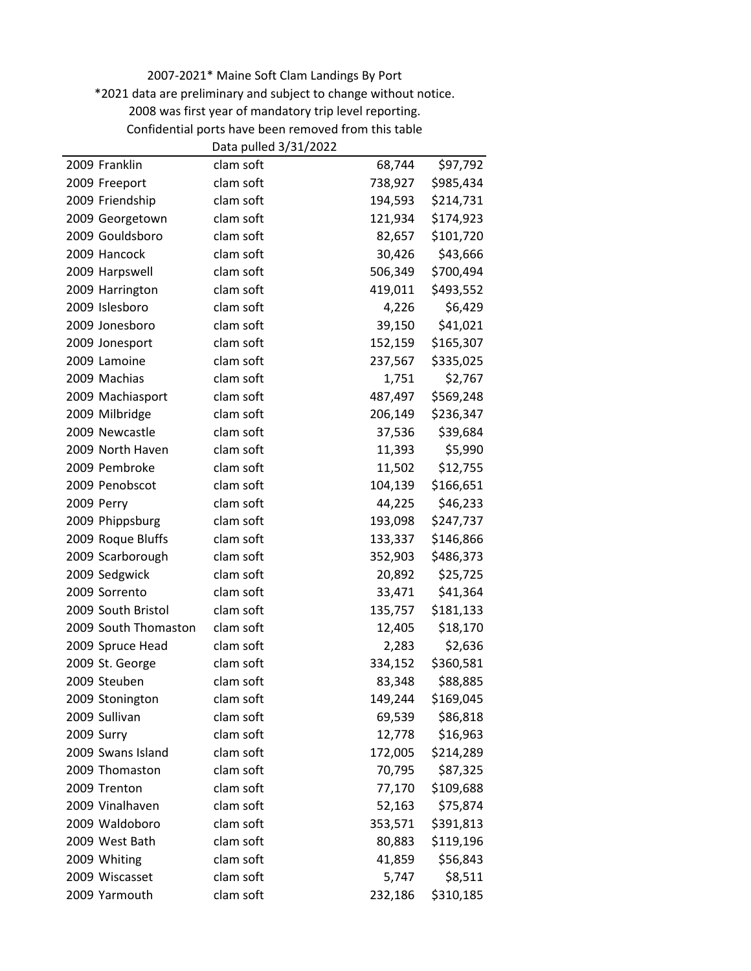\*2021 data are preliminary and subject to change without notice.

Confidential ports have been removed from this table

|                      | Data pulled 3/31/2022 |         |           |
|----------------------|-----------------------|---------|-----------|
| 2009 Franklin        | clam soft             | 68,744  | \$97,792  |
| 2009 Freeport        | clam soft             | 738,927 | \$985,434 |
| 2009 Friendship      | clam soft             | 194,593 | \$214,731 |
| 2009 Georgetown      | clam soft             | 121,934 | \$174,923 |
| 2009 Gouldsboro      | clam soft             | 82,657  | \$101,720 |
| 2009 Hancock         | clam soft             | 30,426  | \$43,666  |
| 2009 Harpswell       | clam soft             | 506,349 | \$700,494 |
| 2009 Harrington      | clam soft             | 419,011 | \$493,552 |
| 2009 Islesboro       | clam soft             | 4,226   | \$6,429   |
| 2009 Jonesboro       | clam soft             | 39,150  | \$41,021  |
| 2009 Jonesport       | clam soft             | 152,159 | \$165,307 |
| 2009 Lamoine         | clam soft             | 237,567 | \$335,025 |
| 2009 Machias         | clam soft             | 1,751   | \$2,767   |
| 2009 Machiasport     | clam soft             | 487,497 | \$569,248 |
| 2009 Milbridge       | clam soft             | 206,149 | \$236,347 |
| 2009 Newcastle       | clam soft             | 37,536  | \$39,684  |
| 2009 North Haven     | clam soft             | 11,393  | \$5,990   |
| 2009 Pembroke        | clam soft             | 11,502  | \$12,755  |
| 2009 Penobscot       | clam soft             | 104,139 | \$166,651 |
| 2009 Perry           | clam soft             | 44,225  | \$46,233  |
| 2009 Phippsburg      | clam soft             | 193,098 | \$247,737 |
| 2009 Roque Bluffs    | clam soft             | 133,337 | \$146,866 |
| 2009 Scarborough     | clam soft             | 352,903 | \$486,373 |
| 2009 Sedgwick        | clam soft             | 20,892  | \$25,725  |
| 2009 Sorrento        | clam soft             | 33,471  | \$41,364  |
| 2009 South Bristol   | clam soft             | 135,757 | \$181,133 |
| 2009 South Thomaston | clam soft             | 12,405  | \$18,170  |
| 2009 Spruce Head     | clam soft             | 2,283   | \$2,636   |
| 2009 St. George      | clam soft             | 334,152 | \$360,581 |
| 2009 Steuben         | clam soft             | 83,348  | \$88,885  |
| 2009 Stonington      | clam soft             | 149,244 | \$169,045 |
| 2009 Sullivan        | clam soft             | 69,539  | \$86,818  |
| 2009 Surry           | clam soft             | 12,778  | \$16,963  |
| 2009 Swans Island    | clam soft             | 172,005 | \$214,289 |
| 2009 Thomaston       | clam soft             | 70,795  | \$87,325  |
| 2009 Trenton         | clam soft             | 77,170  | \$109,688 |
| 2009 Vinalhaven      | clam soft             | 52,163  | \$75,874  |
| 2009 Waldoboro       | clam soft             | 353,571 | \$391,813 |
| 2009 West Bath       | clam soft             | 80,883  | \$119,196 |
| 2009 Whiting         | clam soft             | 41,859  | \$56,843  |
| 2009 Wiscasset       | clam soft             | 5,747   | \$8,511   |
| 2009 Yarmouth        | clam soft             | 232,186 | \$310,185 |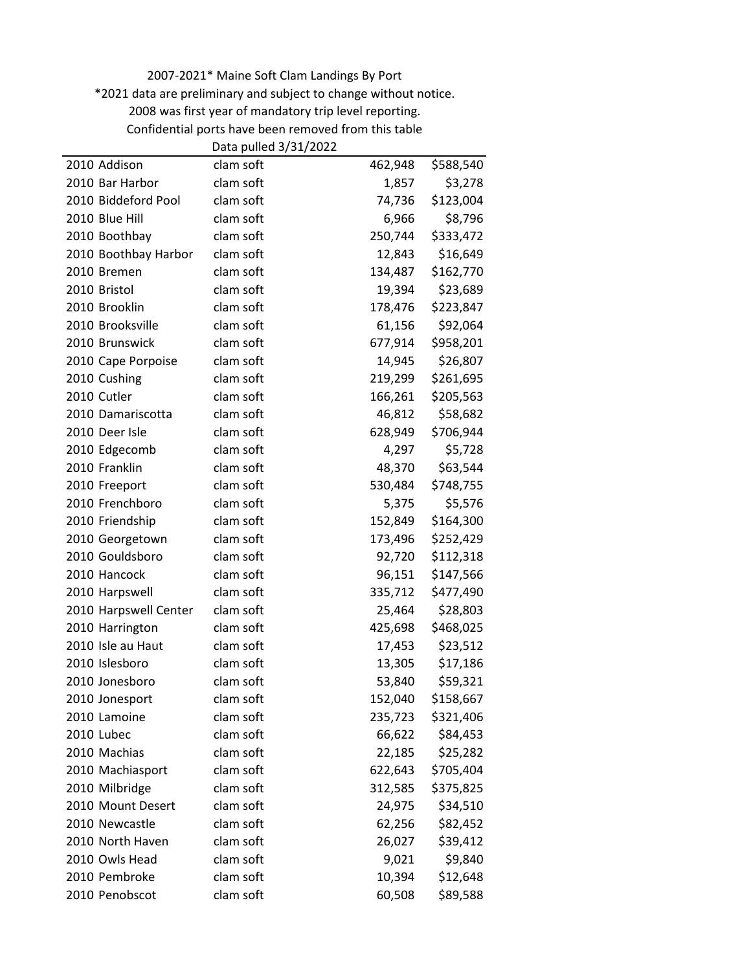\*2021 data are preliminary and subject to change without notice.

Confidential ports have been removed from this table

|                       | Data pulled 3/31/2022 |         |           |
|-----------------------|-----------------------|---------|-----------|
| 2010 Addison          | clam soft             | 462,948 | \$588,540 |
| 2010 Bar Harbor       | clam soft             | 1,857   | \$3,278   |
| 2010 Biddeford Pool   | clam soft             | 74,736  | \$123,004 |
| 2010 Blue Hill        | clam soft             | 6,966   | \$8,796   |
| 2010 Boothbay         | clam soft             | 250,744 | \$333,472 |
| 2010 Boothbay Harbor  | clam soft             | 12,843  | \$16,649  |
| 2010 Bremen           | clam soft             | 134,487 | \$162,770 |
| 2010 Bristol          | clam soft             | 19,394  | \$23,689  |
| 2010 Brooklin         | clam soft             | 178,476 | \$223,847 |
| 2010 Brooksville      | clam soft             | 61,156  | \$92,064  |
| 2010 Brunswick        | clam soft             | 677,914 | \$958,201 |
| 2010 Cape Porpoise    | clam soft             | 14,945  | \$26,807  |
| 2010 Cushing          | clam soft             | 219,299 | \$261,695 |
| 2010 Cutler           | clam soft             | 166,261 | \$205,563 |
| 2010 Damariscotta     | clam soft             | 46,812  | \$58,682  |
| 2010 Deer Isle        | clam soft             | 628,949 | \$706,944 |
| 2010 Edgecomb         | clam soft             | 4,297   | \$5,728   |
| 2010 Franklin         | clam soft             | 48,370  | \$63,544  |
| 2010 Freeport         | clam soft             | 530,484 | \$748,755 |
| 2010 Frenchboro       | clam soft             | 5,375   | \$5,576   |
| 2010 Friendship       | clam soft             | 152,849 | \$164,300 |
| 2010 Georgetown       | clam soft             | 173,496 | \$252,429 |
| 2010 Gouldsboro       | clam soft             | 92,720  | \$112,318 |
| 2010 Hancock          | clam soft             | 96,151  | \$147,566 |
| 2010 Harpswell        | clam soft             | 335,712 | \$477,490 |
| 2010 Harpswell Center | clam soft             | 25,464  | \$28,803  |
| 2010 Harrington       | clam soft             | 425,698 | \$468,025 |
| 2010 Isle au Haut     | clam soft             | 17,453  | \$23,512  |
| 2010 Islesboro        | clam soft             | 13,305  | \$17,186  |
| 2010 Jonesboro        | clam soft             | 53,840  | \$59,321  |
| 2010 Jonesport        | clam soft             | 152,040 | \$158,667 |
| 2010 Lamoine          | clam soft             | 235,723 | \$321,406 |
| 2010 Lubec            | clam soft             | 66,622  | \$84,453  |
| 2010 Machias          | clam soft             | 22,185  | \$25,282  |
| 2010 Machiasport      | clam soft             | 622,643 | \$705,404 |
| 2010 Milbridge        | clam soft             | 312,585 | \$375,825 |
| 2010 Mount Desert     | clam soft             | 24,975  | \$34,510  |
| 2010 Newcastle        | clam soft             | 62,256  | \$82,452  |
| 2010 North Haven      | clam soft             | 26,027  | \$39,412  |
| 2010 Owls Head        | clam soft             | 9,021   | \$9,840   |
| 2010 Pembroke         | clam soft             | 10,394  | \$12,648  |
| 2010 Penobscot        | clam soft             | 60,508  | \$89,588  |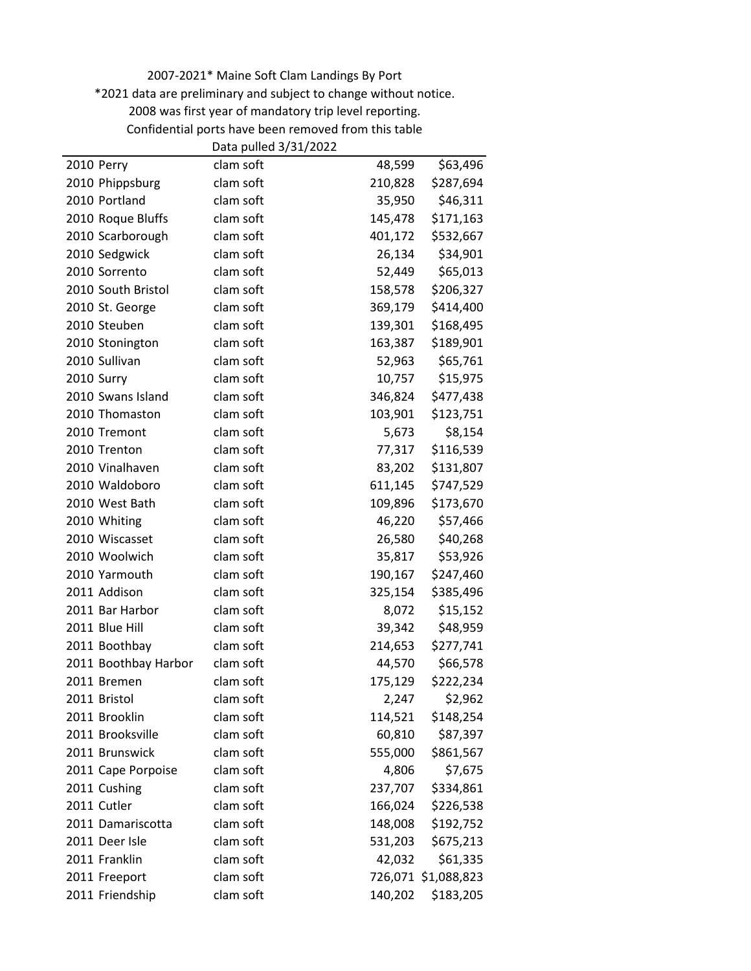\*2021 data are preliminary and subject to change without notice.

Confidential ports have been removed from this table

|                      | Data pulled 3/31/2022 |         |                     |
|----------------------|-----------------------|---------|---------------------|
| 2010 Perry           | clam soft             | 48,599  | \$63,496            |
| 2010 Phippsburg      | clam soft             | 210,828 | \$287,694           |
| 2010 Portland        | clam soft             | 35,950  | \$46,311            |
| 2010 Roque Bluffs    | clam soft             | 145,478 | \$171,163           |
| 2010 Scarborough     | clam soft             | 401,172 | \$532,667           |
| 2010 Sedgwick        | clam soft             | 26,134  | \$34,901            |
| 2010 Sorrento        | clam soft             | 52,449  | \$65,013            |
| 2010 South Bristol   | clam soft             | 158,578 | \$206,327           |
| 2010 St. George      | clam soft             | 369,179 | \$414,400           |
| 2010 Steuben         | clam soft             | 139,301 | \$168,495           |
| 2010 Stonington      | clam soft             | 163,387 | \$189,901           |
| 2010 Sullivan        | clam soft             | 52,963  | \$65,761            |
| 2010 Surry           | clam soft             | 10,757  | \$15,975            |
| 2010 Swans Island    | clam soft             | 346,824 | \$477,438           |
| 2010 Thomaston       | clam soft             | 103,901 | \$123,751           |
| 2010 Tremont         | clam soft             | 5,673   | \$8,154             |
| 2010 Trenton         | clam soft             | 77,317  | \$116,539           |
| 2010 Vinalhaven      | clam soft             | 83,202  | \$131,807           |
| 2010 Waldoboro       | clam soft             | 611,145 | \$747,529           |
| 2010 West Bath       | clam soft             | 109,896 | \$173,670           |
| 2010 Whiting         | clam soft             | 46,220  | \$57,466            |
| 2010 Wiscasset       | clam soft             | 26,580  | \$40,268            |
| 2010 Woolwich        | clam soft             | 35,817  | \$53,926            |
| 2010 Yarmouth        | clam soft             | 190,167 | \$247,460           |
| 2011 Addison         | clam soft             | 325,154 | \$385,496           |
| 2011 Bar Harbor      | clam soft             | 8,072   | \$15,152            |
| 2011 Blue Hill       | clam soft             | 39,342  | \$48,959            |
| 2011 Boothbay        | clam soft             | 214,653 | \$277,741           |
| 2011 Boothbay Harbor | clam soft             | 44,570  | \$66,578            |
| 2011 Bremen          | clam soft             | 175,129 | \$222,234           |
| 2011 Bristol         | clam soft             | 2,247   | \$2,962             |
| 2011 Brooklin        | clam soft             | 114,521 | \$148,254           |
| 2011 Brooksville     | clam soft             | 60,810  | \$87,397            |
| 2011 Brunswick       | clam soft             | 555,000 | \$861,567           |
| 2011 Cape Porpoise   | clam soft             | 4,806   | \$7,675             |
| 2011 Cushing         | clam soft             | 237,707 | \$334,861           |
| 2011 Cutler          | clam soft             | 166,024 | \$226,538           |
| 2011 Damariscotta    | clam soft             | 148,008 | \$192,752           |
| 2011 Deer Isle       | clam soft             | 531,203 | \$675,213           |
| 2011 Franklin        | clam soft             | 42,032  | \$61,335            |
| 2011 Freeport        | clam soft             |         | 726,071 \$1,088,823 |
| 2011 Friendship      | clam soft             | 140,202 | \$183,205           |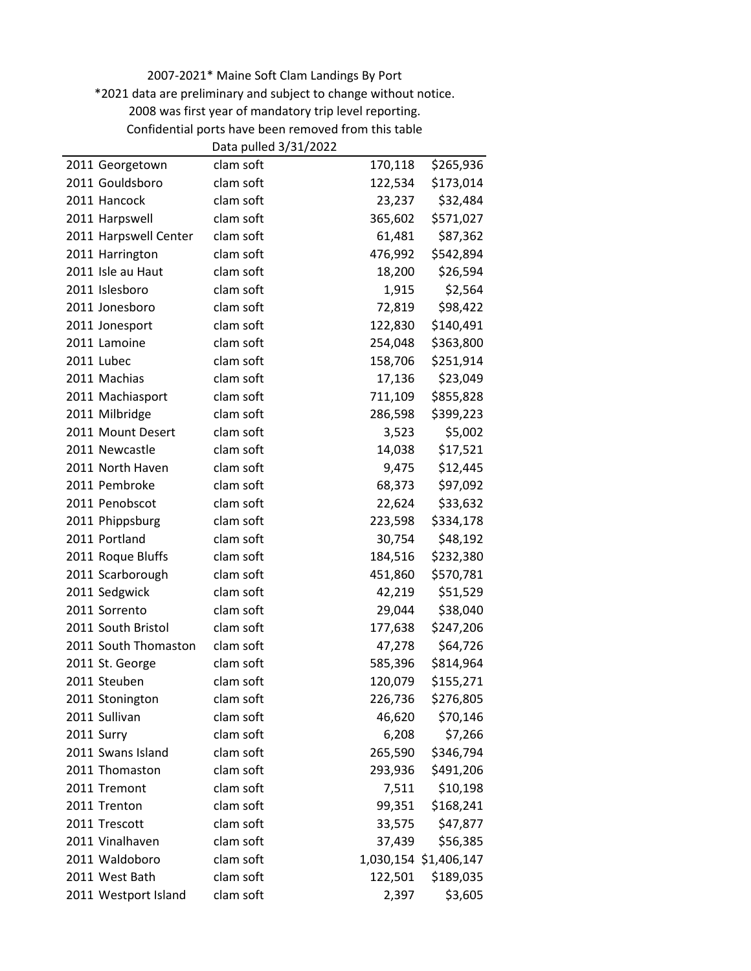\*2021 data are preliminary and subject to change without notice.

Confidential ports have been removed from this table

|                       | Data pulled 3/31/2022 |         |                       |
|-----------------------|-----------------------|---------|-----------------------|
| 2011 Georgetown       | clam soft             | 170,118 | \$265,936             |
| 2011 Gouldsboro       | clam soft             | 122,534 | \$173,014             |
| 2011 Hancock          | clam soft             | 23,237  | \$32,484              |
| 2011 Harpswell        | clam soft             | 365,602 | \$571,027             |
| 2011 Harpswell Center | clam soft             | 61,481  | \$87,362              |
| 2011 Harrington       | clam soft             | 476,992 | \$542,894             |
| 2011 Isle au Haut     | clam soft             | 18,200  | \$26,594              |
| 2011 Islesboro        | clam soft             | 1,915   | \$2,564               |
| 2011 Jonesboro        | clam soft             | 72,819  | \$98,422              |
| 2011 Jonesport        | clam soft             | 122,830 | \$140,491             |
| 2011 Lamoine          | clam soft             | 254,048 | \$363,800             |
| 2011 Lubec            | clam soft             | 158,706 | \$251,914             |
| 2011 Machias          | clam soft             | 17,136  | \$23,049              |
| 2011 Machiasport      | clam soft             | 711,109 | \$855,828             |
| 2011 Milbridge        | clam soft             | 286,598 | \$399,223             |
| 2011 Mount Desert     | clam soft             | 3,523   | \$5,002               |
| 2011 Newcastle        | clam soft             | 14,038  | \$17,521              |
| 2011 North Haven      | clam soft             | 9,475   | \$12,445              |
| 2011 Pembroke         | clam soft             | 68,373  | \$97,092              |
| 2011 Penobscot        | clam soft             | 22,624  | \$33,632              |
| 2011 Phippsburg       | clam soft             | 223,598 | \$334,178             |
| 2011 Portland         | clam soft             | 30,754  | \$48,192              |
| 2011 Roque Bluffs     | clam soft             | 184,516 | \$232,380             |
| 2011 Scarborough      | clam soft             | 451,860 | \$570,781             |
| 2011 Sedgwick         | clam soft             | 42,219  | \$51,529              |
| 2011 Sorrento         | clam soft             | 29,044  | \$38,040              |
| 2011 South Bristol    | clam soft             | 177,638 | \$247,206             |
| 2011 South Thomaston  | clam soft             | 47,278  | \$64,726              |
| 2011 St. George       | clam soft             | 585,396 | \$814,964             |
| 2011 Steuben          | clam soft             | 120,079 | \$155,271             |
| 2011 Stonington       | clam soft             | 226,736 | \$276,805             |
| 2011 Sullivan         | clam soft             | 46,620  | \$70,146              |
| 2011 Surry            | clam soft             | 6,208   | \$7,266               |
| 2011 Swans Island     | clam soft             | 265,590 | \$346,794             |
| 2011 Thomaston        | clam soft             | 293,936 | \$491,206             |
| 2011 Tremont          | clam soft             | 7,511   | \$10,198              |
| 2011 Trenton          | clam soft             | 99,351  | \$168,241             |
| 2011 Trescott         | clam soft             | 33,575  | \$47,877              |
| 2011 Vinalhaven       | clam soft             | 37,439  | \$56,385              |
| 2011 Waldoboro        | clam soft             |         | 1,030,154 \$1,406,147 |
| 2011 West Bath        | clam soft             | 122,501 | \$189,035             |
| 2011 Westport Island  | clam soft             | 2,397   | \$3,605               |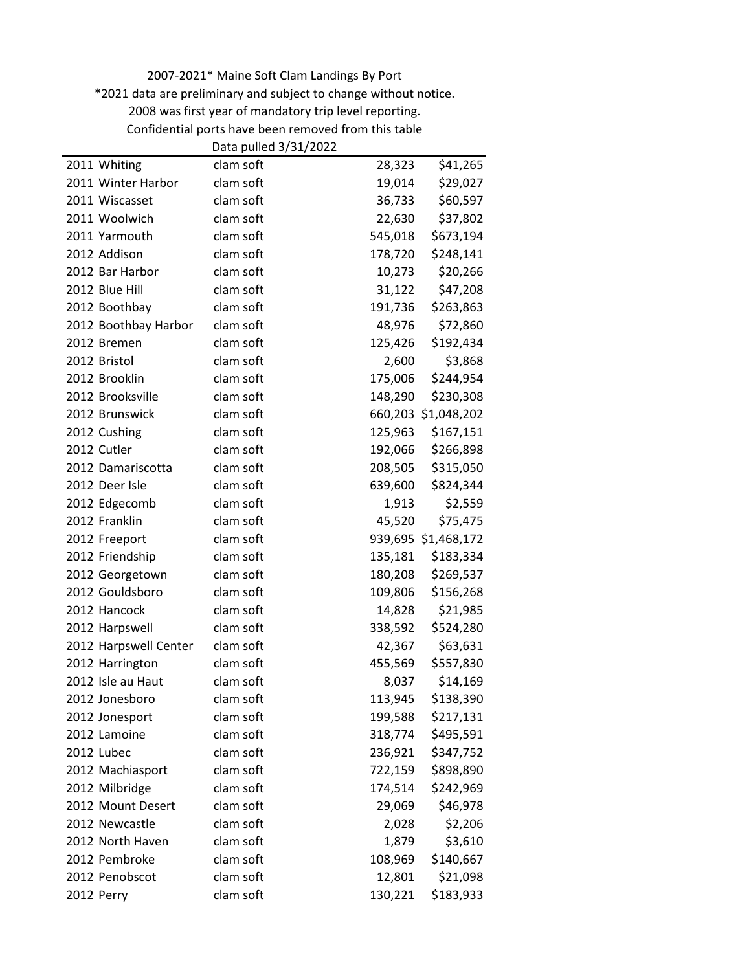\*2021 data are preliminary and subject to change without notice.

Confidential ports have been removed from this table

|                       | Data pulled 3/31/2022 |         |                     |
|-----------------------|-----------------------|---------|---------------------|
| 2011 Whiting          | clam soft             | 28,323  | \$41,265            |
| 2011 Winter Harbor    | clam soft             | 19,014  | \$29,027            |
| 2011 Wiscasset        | clam soft             | 36,733  | \$60,597            |
| 2011 Woolwich         | clam soft             | 22,630  | \$37,802            |
| 2011 Yarmouth         | clam soft             | 545,018 | \$673,194           |
| 2012 Addison          | clam soft             | 178,720 | \$248,141           |
| 2012 Bar Harbor       | clam soft             | 10,273  | \$20,266            |
| 2012 Blue Hill        | clam soft             | 31,122  | \$47,208            |
| 2012 Boothbay         | clam soft             | 191,736 | \$263,863           |
| 2012 Boothbay Harbor  | clam soft             | 48,976  | \$72,860            |
| 2012 Bremen           | clam soft             | 125,426 | \$192,434           |
| 2012 Bristol          | clam soft             | 2,600   | \$3,868             |
| 2012 Brooklin         | clam soft             | 175,006 | \$244,954           |
| 2012 Brooksville      | clam soft             | 148,290 | \$230,308           |
| 2012 Brunswick        | clam soft             |         | 660,203 \$1,048,202 |
| 2012 Cushing          | clam soft             | 125,963 | \$167,151           |
| 2012 Cutler           | clam soft             | 192,066 | \$266,898           |
| 2012 Damariscotta     | clam soft             | 208,505 | \$315,050           |
| 2012 Deer Isle        | clam soft             | 639,600 | \$824,344           |
| 2012 Edgecomb         | clam soft             | 1,913   | \$2,559             |
| 2012 Franklin         | clam soft             | 45,520  | \$75,475            |
| 2012 Freeport         | clam soft             |         | 939,695 \$1,468,172 |
| 2012 Friendship       | clam soft             | 135,181 | \$183,334           |
| 2012 Georgetown       | clam soft             | 180,208 | \$269,537           |
| 2012 Gouldsboro       | clam soft             | 109,806 | \$156,268           |
| 2012 Hancock          | clam soft             | 14,828  | \$21,985            |
| 2012 Harpswell        | clam soft             | 338,592 | \$524,280           |
| 2012 Harpswell Center | clam soft             | 42,367  | \$63,631            |
| 2012 Harrington       | clam soft             | 455,569 | \$557,830           |
| 2012 Isle au Haut     | clam soft             | 8,037   | \$14,169            |
| 2012 Jonesboro        | clam soft             | 113,945 | \$138,390           |
| 2012 Jonesport        | clam soft             | 199,588 | \$217,131           |
| 2012 Lamoine          | clam soft             | 318,774 | \$495,591           |
| 2012 Lubec            | clam soft             | 236,921 | \$347,752           |
| 2012 Machiasport      | clam soft             | 722,159 | \$898,890           |
| 2012 Milbridge        | clam soft             | 174,514 | \$242,969           |
| 2012 Mount Desert     | clam soft             | 29,069  | \$46,978            |
| 2012 Newcastle        | clam soft             | 2,028   | \$2,206             |
| 2012 North Haven      | clam soft             | 1,879   | \$3,610             |
| 2012 Pembroke         | clam soft             | 108,969 | \$140,667           |
| 2012 Penobscot        | clam soft             | 12,801  | \$21,098            |
| 2012 Perry            | clam soft             | 130,221 | \$183,933           |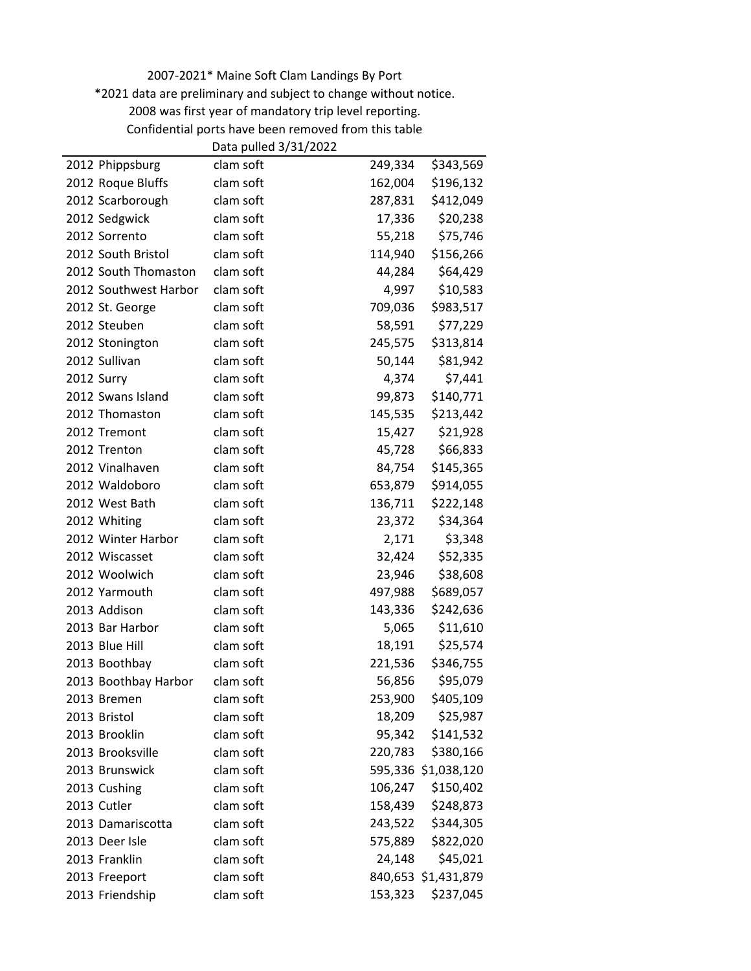\*2021 data are preliminary and subject to change without notice.

Confidential ports have been removed from this table

|                       | Data pulled 3/31/2022 |         |                     |
|-----------------------|-----------------------|---------|---------------------|
| 2012 Phippsburg       | clam soft             | 249,334 | \$343,569           |
| 2012 Roque Bluffs     | clam soft             | 162,004 | \$196,132           |
| 2012 Scarborough      | clam soft             | 287,831 | \$412,049           |
| 2012 Sedgwick         | clam soft             | 17,336  | \$20,238            |
| 2012 Sorrento         | clam soft             | 55,218  | \$75,746            |
| 2012 South Bristol    | clam soft             | 114,940 | \$156,266           |
| 2012 South Thomaston  | clam soft             | 44,284  | \$64,429            |
| 2012 Southwest Harbor | clam soft             | 4,997   | \$10,583            |
| 2012 St. George       | clam soft             | 709,036 | \$983,517           |
| 2012 Steuben          | clam soft             | 58,591  | \$77,229            |
| 2012 Stonington       | clam soft             | 245,575 | \$313,814           |
| 2012 Sullivan         | clam soft             | 50,144  | \$81,942            |
| 2012 Surry            | clam soft             | 4,374   | \$7,441             |
| 2012 Swans Island     | clam soft             | 99,873  | \$140,771           |
| 2012 Thomaston        | clam soft             | 145,535 | \$213,442           |
| 2012 Tremont          | clam soft             | 15,427  | \$21,928            |
| 2012 Trenton          | clam soft             | 45,728  | \$66,833            |
| 2012 Vinalhaven       | clam soft             | 84,754  | \$145,365           |
| 2012 Waldoboro        | clam soft             | 653,879 | \$914,055           |
| 2012 West Bath        | clam soft             | 136,711 | \$222,148           |
| 2012 Whiting          | clam soft             | 23,372  | \$34,364            |
| 2012 Winter Harbor    | clam soft             | 2,171   | \$3,348             |
| 2012 Wiscasset        | clam soft             | 32,424  | \$52,335            |
| 2012 Woolwich         | clam soft             | 23,946  | \$38,608            |
| 2012 Yarmouth         | clam soft             | 497,988 | \$689,057           |
| 2013 Addison          | clam soft             | 143,336 | \$242,636           |
| 2013 Bar Harbor       | clam soft             | 5,065   | \$11,610            |
| 2013 Blue Hill        | clam soft             | 18,191  | \$25,574            |
| 2013 Boothbay         | clam soft             | 221,536 | \$346,755           |
| 2013 Boothbay Harbor  | clam soft             | 56,856  | \$95,079            |
| 2013 Bremen           | clam soft             | 253,900 | \$405,109           |
| 2013 Bristol          | clam soft             | 18,209  | \$25,987            |
| 2013 Brooklin         | clam soft             | 95,342  | \$141,532           |
| 2013 Brooksville      | clam soft             | 220,783 | \$380,166           |
| 2013 Brunswick        | clam soft             |         | 595,336 \$1,038,120 |
| 2013 Cushing          | clam soft             | 106,247 | \$150,402           |
| 2013 Cutler           | clam soft             | 158,439 | \$248,873           |
| 2013 Damariscotta     | clam soft             | 243,522 | \$344,305           |
| 2013 Deer Isle        | clam soft             | 575,889 | \$822,020           |
| 2013 Franklin         | clam soft             | 24,148  | \$45,021            |
| 2013 Freeport         | clam soft             |         | 840,653 \$1,431,879 |
| 2013 Friendship       | clam soft             | 153,323 | \$237,045           |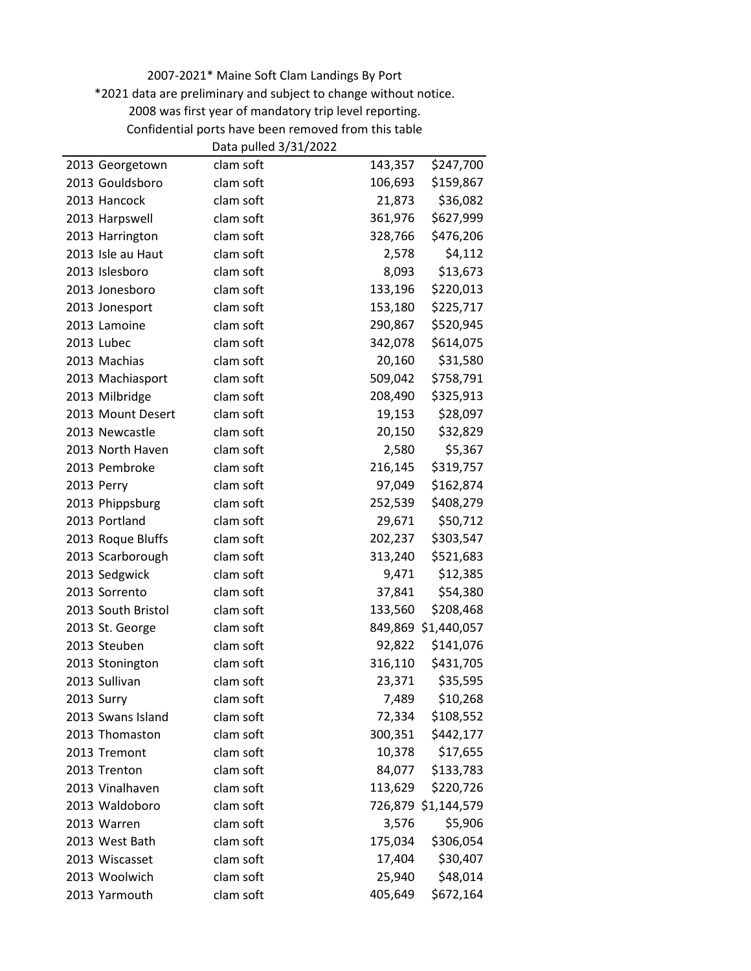\*2021 data are preliminary and subject to change without notice.

Confidential ports have been removed from this table

|                    | Data pulled 3/31/2022 |         |                     |
|--------------------|-----------------------|---------|---------------------|
| 2013 Georgetown    | clam soft             | 143,357 | \$247,700           |
| 2013 Gouldsboro    | clam soft             | 106,693 | \$159,867           |
| 2013 Hancock       | clam soft             | 21,873  | \$36,082            |
| 2013 Harpswell     | clam soft             | 361,976 | \$627,999           |
| 2013 Harrington    | clam soft             | 328,766 | \$476,206           |
| 2013 Isle au Haut  | clam soft             | 2,578   | \$4,112             |
| 2013 Islesboro     | clam soft             | 8,093   | \$13,673            |
| 2013 Jonesboro     | clam soft             | 133,196 | \$220,013           |
| 2013 Jonesport     | clam soft             | 153,180 | \$225,717           |
| 2013 Lamoine       | clam soft             | 290,867 | \$520,945           |
| 2013 Lubec         | clam soft             | 342,078 | \$614,075           |
| 2013 Machias       | clam soft             | 20,160  | \$31,580            |
| 2013 Machiasport   | clam soft             | 509,042 | \$758,791           |
| 2013 Milbridge     | clam soft             | 208,490 | \$325,913           |
| 2013 Mount Desert  | clam soft             | 19,153  | \$28,097            |
| 2013 Newcastle     | clam soft             | 20,150  | \$32,829            |
| 2013 North Haven   | clam soft             | 2,580   | \$5,367             |
| 2013 Pembroke      | clam soft             | 216,145 | \$319,757           |
| 2013 Perry         | clam soft             | 97,049  | \$162,874           |
| 2013 Phippsburg    | clam soft             | 252,539 | \$408,279           |
| 2013 Portland      | clam soft             | 29,671  | \$50,712            |
| 2013 Roque Bluffs  | clam soft             | 202,237 | \$303,547           |
| 2013 Scarborough   | clam soft             | 313,240 | \$521,683           |
| 2013 Sedgwick      | clam soft             | 9,471   | \$12,385            |
| 2013 Sorrento      | clam soft             | 37,841  | \$54,380            |
| 2013 South Bristol | clam soft             | 133,560 | \$208,468           |
| 2013 St. George    | clam soft             |         | 849,869 \$1,440,057 |
| 2013 Steuben       | clam soft             | 92,822  | \$141,076           |
| 2013 Stonington    | clam soft             | 316,110 | \$431,705           |
| 2013 Sullivan      | clam soft             | 23,371  | \$35,595            |
| 2013 Surry         | clam soft             | 7,489   | \$10,268            |
| 2013 Swans Island  | clam soft             | 72,334  | \$108,552           |
| 2013 Thomaston     | clam soft             | 300,351 | \$442,177           |
| 2013 Tremont       | clam soft             | 10,378  | \$17,655            |
| 2013 Trenton       | clam soft             | 84,077  | \$133,783           |
| 2013 Vinalhaven    | clam soft             | 113,629 | \$220,726           |
| 2013 Waldoboro     | clam soft             |         | 726,879 \$1,144,579 |
| 2013 Warren        | clam soft             | 3,576   | \$5,906             |
| 2013 West Bath     | clam soft             | 175,034 | \$306,054           |
| 2013 Wiscasset     | clam soft             | 17,404  | \$30,407            |
| 2013 Woolwich      | clam soft             | 25,940  | \$48,014            |
| 2013 Yarmouth      | clam soft             | 405,649 | \$672,164           |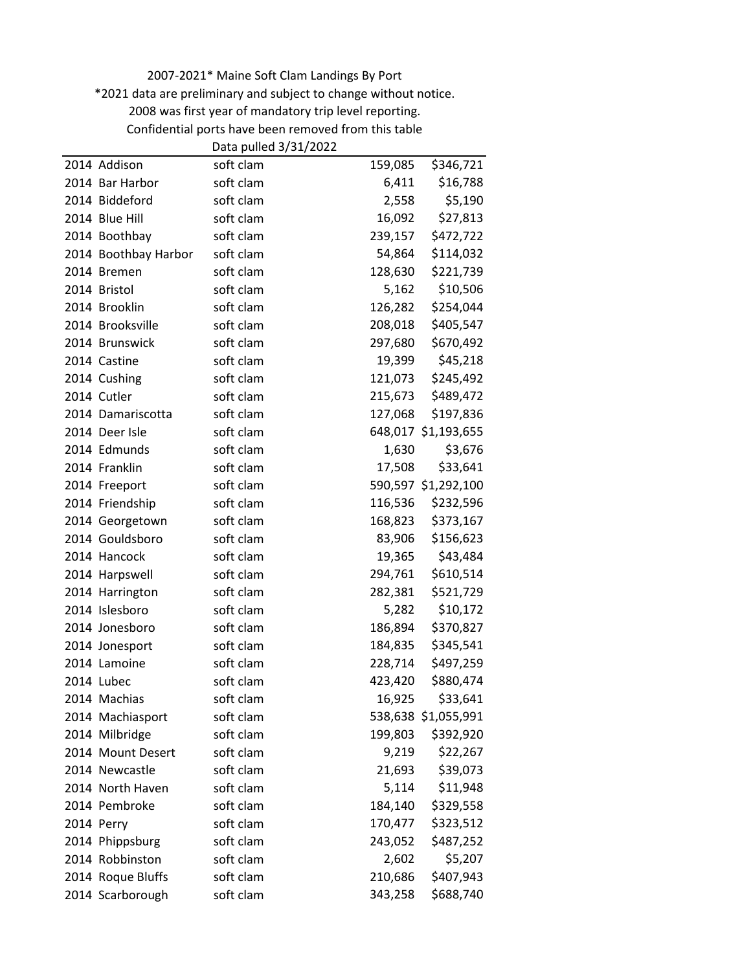\*2021 data are preliminary and subject to change without notice.

Confidential ports have been removed from this table

|                      | Data pulled 3/31/2022 |         |                     |
|----------------------|-----------------------|---------|---------------------|
| 2014 Addison         | soft clam             | 159,085 | \$346,721           |
| 2014 Bar Harbor      | soft clam             | 6,411   | \$16,788            |
| 2014 Biddeford       | soft clam             | 2,558   | \$5,190             |
| 2014 Blue Hill       | soft clam             | 16,092  | \$27,813            |
| 2014 Boothbay        | soft clam             | 239,157 | \$472,722           |
| 2014 Boothbay Harbor | soft clam             | 54,864  | \$114,032           |
| 2014 Bremen          | soft clam             | 128,630 | \$221,739           |
| 2014 Bristol         | soft clam             | 5,162   | \$10,506            |
| 2014 Brooklin        | soft clam             | 126,282 | \$254,044           |
| 2014 Brooksville     | soft clam             | 208,018 | \$405,547           |
| 2014 Brunswick       | soft clam             | 297,680 | \$670,492           |
| 2014 Castine         | soft clam             | 19,399  | \$45,218            |
| 2014 Cushing         | soft clam             | 121,073 | \$245,492           |
| 2014 Cutler          | soft clam             | 215,673 | \$489,472           |
| 2014 Damariscotta    | soft clam             | 127,068 | \$197,836           |
| 2014 Deer Isle       | soft clam             |         | 648,017 \$1,193,655 |
| 2014 Edmunds         | soft clam             | 1,630   | \$3,676             |
| 2014 Franklin        | soft clam             | 17,508  | \$33,641            |
| 2014 Freeport        | soft clam             |         | 590,597 \$1,292,100 |
| 2014 Friendship      | soft clam             | 116,536 | \$232,596           |
| 2014 Georgetown      | soft clam             | 168,823 | \$373,167           |
| 2014 Gouldsboro      | soft clam             | 83,906  | \$156,623           |
| 2014 Hancock         | soft clam             | 19,365  | \$43,484            |
| 2014 Harpswell       | soft clam             | 294,761 | \$610,514           |
| 2014 Harrington      | soft clam             | 282,381 | \$521,729           |
| 2014 Islesboro       | soft clam             | 5,282   | \$10,172            |
| 2014 Jonesboro       | soft clam             | 186,894 | \$370,827           |
| 2014 Jonesport       | soft clam             | 184,835 | \$345,541           |
| 2014 Lamoine         | soft clam             | 228,714 | \$497,259           |
| 2014 Lubec           | soft clam             | 423,420 | \$880,474           |
| 2014 Machias         | soft clam             | 16,925  | \$33,641            |
| 2014 Machiasport     | soft clam             |         | 538,638 \$1,055,991 |
| 2014 Milbridge       | soft clam             | 199,803 | \$392,920           |
| 2014 Mount Desert    | soft clam             | 9,219   | \$22,267            |
| 2014 Newcastle       | soft clam             | 21,693  | \$39,073            |
| 2014 North Haven     | soft clam             | 5,114   | \$11,948            |
| 2014 Pembroke        | soft clam             | 184,140 | \$329,558           |
| 2014 Perry           | soft clam             | 170,477 | \$323,512           |
| 2014 Phippsburg      | soft clam             | 243,052 | \$487,252           |
| 2014 Robbinston      | soft clam             | 2,602   | \$5,207             |
| 2014 Roque Bluffs    | soft clam             | 210,686 | \$407,943           |
| 2014 Scarborough     | soft clam             | 343,258 | \$688,740           |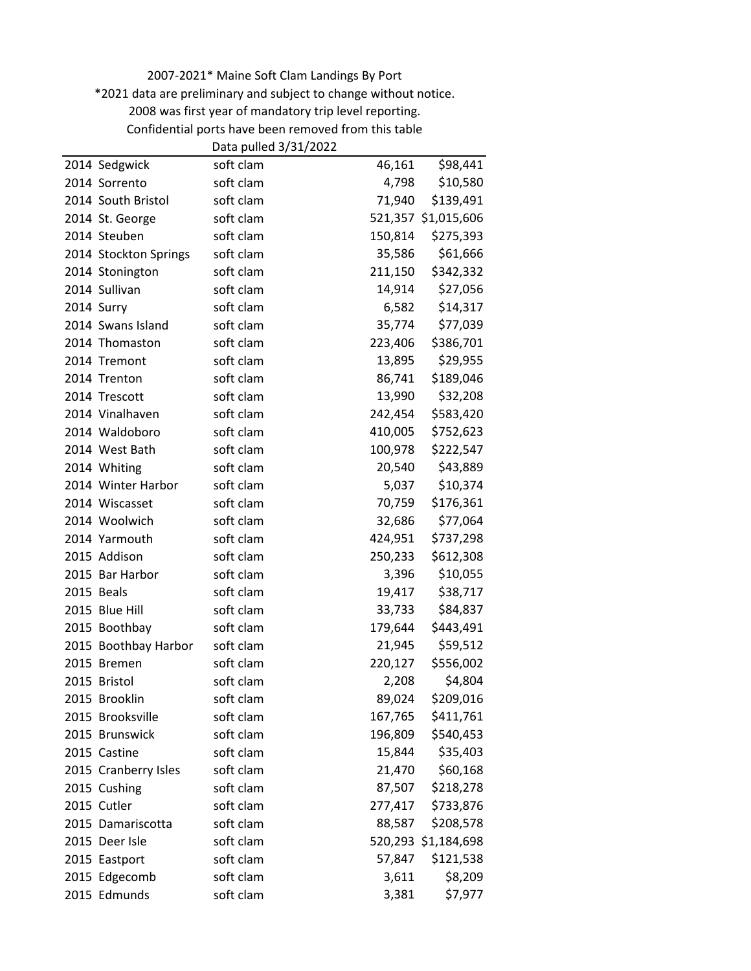\*2021 data are preliminary and subject to change without notice.

Confidential ports have been removed from this table

|                       | Data pulled 3/31/2022 |         |                     |
|-----------------------|-----------------------|---------|---------------------|
| 2014 Sedgwick         | soft clam             | 46,161  | \$98,441            |
| 2014 Sorrento         | soft clam             | 4,798   | \$10,580            |
| 2014 South Bristol    | soft clam             | 71,940  | \$139,491           |
| 2014 St. George       | soft clam             |         | 521,357 \$1,015,606 |
| 2014 Steuben          | soft clam             | 150,814 | \$275,393           |
| 2014 Stockton Springs | soft clam             | 35,586  | \$61,666            |
| 2014 Stonington       | soft clam             | 211,150 | \$342,332           |
| 2014 Sullivan         | soft clam             | 14,914  | \$27,056            |
| 2014 Surry            | soft clam             | 6,582   | \$14,317            |
| 2014 Swans Island     | soft clam             | 35,774  | \$77,039            |
| 2014 Thomaston        | soft clam             | 223,406 | \$386,701           |
| 2014 Tremont          | soft clam             | 13,895  | \$29,955            |
| 2014 Trenton          | soft clam             | 86,741  | \$189,046           |
| 2014 Trescott         | soft clam             | 13,990  | \$32,208            |
| 2014 Vinalhaven       | soft clam             | 242,454 | \$583,420           |
| 2014 Waldoboro        | soft clam             | 410,005 | \$752,623           |
| 2014 West Bath        | soft clam             | 100,978 | \$222,547           |
| 2014 Whiting          | soft clam             | 20,540  | \$43,889            |
| 2014 Winter Harbor    | soft clam             | 5,037   | \$10,374            |
| 2014 Wiscasset        | soft clam             | 70,759  | \$176,361           |
| 2014 Woolwich         | soft clam             | 32,686  | \$77,064            |
| 2014 Yarmouth         | soft clam             | 424,951 | \$737,298           |
| 2015 Addison          | soft clam             | 250,233 | \$612,308           |
| 2015 Bar Harbor       | soft clam             | 3,396   | \$10,055            |
| 2015 Beals            | soft clam             | 19,417  | \$38,717            |
| 2015 Blue Hill        | soft clam             | 33,733  | \$84,837            |
| 2015 Boothbay         | soft clam             | 179,644 | \$443,491           |
| 2015 Boothbay Harbor  | soft clam             | 21,945  | \$59,512            |
| 2015 Bremen           | soft clam             | 220,127 | \$556,002           |
| 2015 Bristol          | soft clam             | 2,208   | \$4,804             |
| 2015 Brooklin         | soft clam             | 89,024  | \$209,016           |
| 2015 Brooksville      | soft clam             | 167,765 | \$411,761           |
| 2015 Brunswick        | soft clam             | 196,809 | \$540,453           |
| 2015 Castine          | soft clam             | 15,844  | \$35,403            |
| 2015 Cranberry Isles  | soft clam             | 21,470  | \$60,168            |
| 2015 Cushing          | soft clam             | 87,507  | \$218,278           |
| 2015 Cutler           | soft clam             | 277,417 | \$733,876           |
| 2015 Damariscotta     | soft clam             | 88,587  | \$208,578           |
| 2015 Deer Isle        | soft clam             |         | 520,293 \$1,184,698 |
| 2015 Eastport         | soft clam             | 57,847  | \$121,538           |
| 2015 Edgecomb         | soft clam             | 3,611   | \$8,209             |
| 2015 Edmunds          | soft clam             | 3,381   | \$7,977             |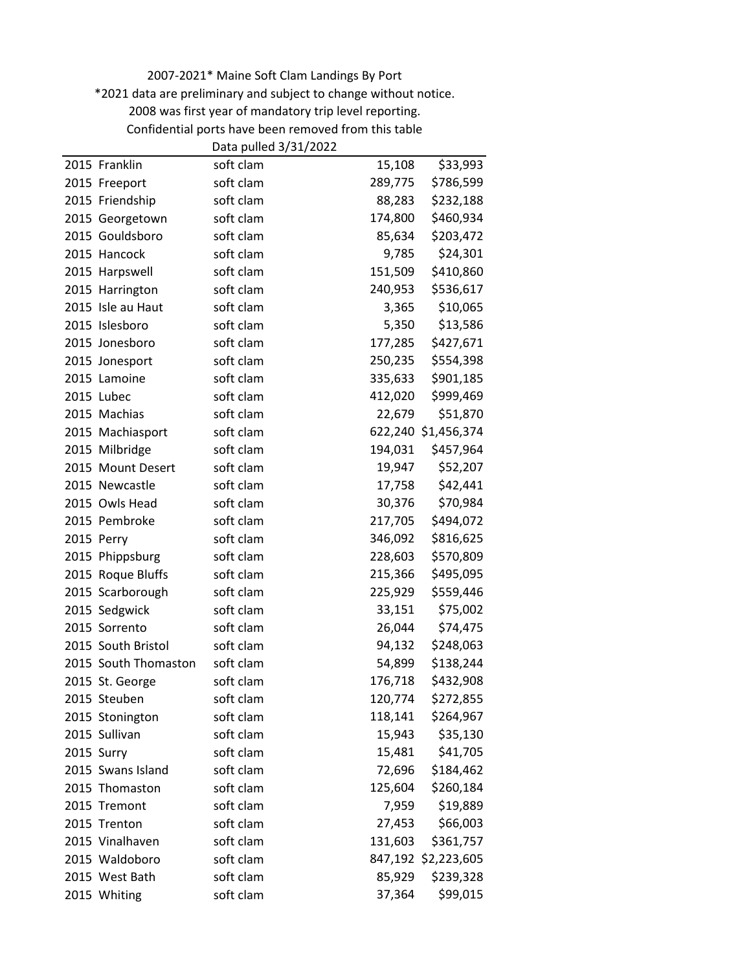\*2021 data are preliminary and subject to change without notice.

Confidential ports have been removed from this table

|                      | Data pulled 3/31/2022 |         |                     |
|----------------------|-----------------------|---------|---------------------|
| 2015 Franklin        | soft clam             | 15,108  | \$33,993            |
| 2015 Freeport        | soft clam             | 289,775 | \$786,599           |
| 2015 Friendship      | soft clam             | 88,283  | \$232,188           |
| 2015 Georgetown      | soft clam             | 174,800 | \$460,934           |
| 2015 Gouldsboro      | soft clam             | 85,634  | \$203,472           |
| 2015 Hancock         | soft clam             | 9,785   | \$24,301            |
| 2015 Harpswell       | soft clam             | 151,509 | \$410,860           |
| 2015 Harrington      | soft clam             | 240,953 | \$536,617           |
| 2015 Isle au Haut    | soft clam             | 3,365   | \$10,065            |
| 2015 Islesboro       | soft clam             | 5,350   | \$13,586            |
| 2015 Jonesboro       | soft clam             | 177,285 | \$427,671           |
| 2015 Jonesport       | soft clam             | 250,235 | \$554,398           |
| 2015 Lamoine         | soft clam             | 335,633 | \$901,185           |
| 2015 Lubec           | soft clam             | 412,020 | \$999,469           |
| 2015 Machias         | soft clam             | 22,679  | \$51,870            |
| 2015 Machiasport     | soft clam             |         | 622,240 \$1,456,374 |
| 2015 Milbridge       | soft clam             | 194,031 | \$457,964           |
| 2015 Mount Desert    | soft clam             | 19,947  | \$52,207            |
| 2015 Newcastle       | soft clam             | 17,758  | \$42,441            |
| 2015 Owls Head       | soft clam             | 30,376  | \$70,984            |
| 2015 Pembroke        | soft clam             | 217,705 | \$494,072           |
| 2015 Perry           | soft clam             | 346,092 | \$816,625           |
| 2015 Phippsburg      | soft clam             | 228,603 | \$570,809           |
| 2015 Roque Bluffs    | soft clam             | 215,366 | \$495,095           |
| 2015 Scarborough     | soft clam             | 225,929 | \$559,446           |
| 2015 Sedgwick        | soft clam             | 33,151  | \$75,002            |
| 2015 Sorrento        | soft clam             | 26,044  | \$74,475            |
| 2015 South Bristol   | soft clam             | 94,132  | \$248,063           |
| 2015 South Thomaston | soft clam             | 54,899  | \$138,244           |
| 2015 St. George      | soft clam             | 176,718 | \$432,908           |
| 2015 Steuben         | soft clam             | 120,774 | \$272,855           |
| 2015 Stonington      | soft clam             | 118,141 | \$264,967           |
| 2015 Sullivan        | soft clam             | 15,943  | \$35,130            |
| 2015 Surry           | soft clam             | 15,481  | \$41,705            |
| 2015 Swans Island    | soft clam             | 72,696  | \$184,462           |
| 2015 Thomaston       | soft clam             | 125,604 | \$260,184           |
| 2015 Tremont         | soft clam             | 7,959   | \$19,889            |
| 2015 Trenton         | soft clam             | 27,453  | \$66,003            |
| 2015 Vinalhaven      | soft clam             | 131,603 | \$361,757           |
| 2015 Waldoboro       | soft clam             |         | 847,192 \$2,223,605 |
| 2015 West Bath       | soft clam             | 85,929  | \$239,328           |
| 2015 Whiting         | soft clam             | 37,364  | \$99,015            |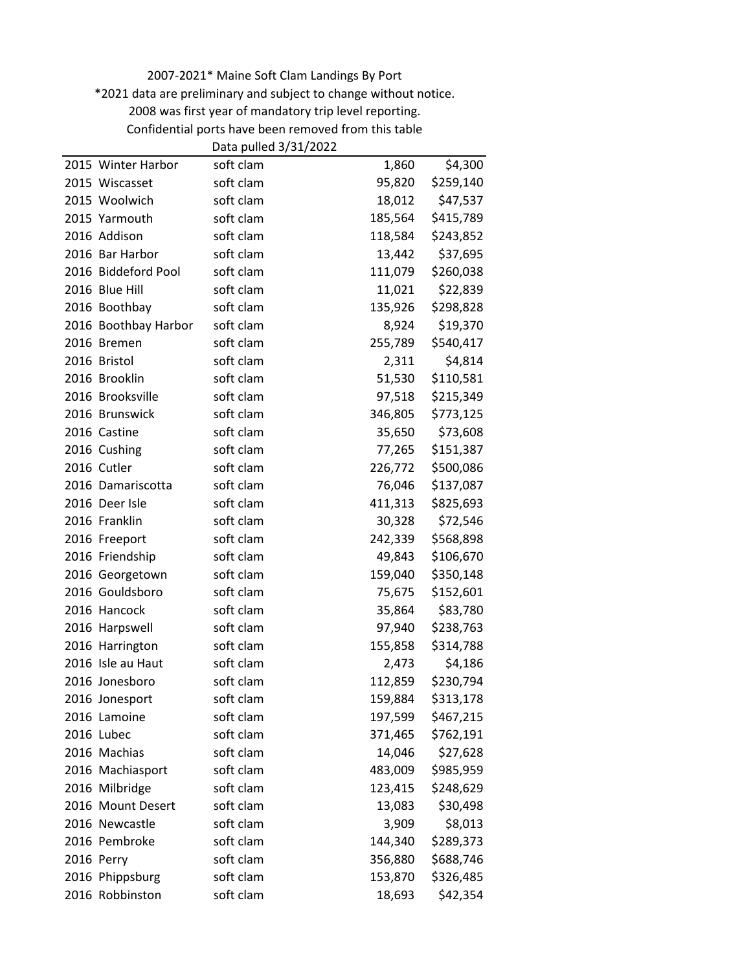\*2021 data are preliminary and subject to change without notice.

Confidential ports have been removed from this table

|                      | Data pulled 3/31/2022 |         |           |
|----------------------|-----------------------|---------|-----------|
| 2015 Winter Harbor   | soft clam             | 1,860   | \$4,300   |
| 2015 Wiscasset       | soft clam             | 95,820  | \$259,140 |
| 2015 Woolwich        | soft clam             | 18,012  | \$47,537  |
| 2015 Yarmouth        | soft clam             | 185,564 | \$415,789 |
| 2016 Addison         | soft clam             | 118,584 | \$243,852 |
| 2016 Bar Harbor      | soft clam             | 13,442  | \$37,695  |
| 2016 Biddeford Pool  | soft clam             | 111,079 | \$260,038 |
| 2016 Blue Hill       | soft clam             | 11,021  | \$22,839  |
| 2016 Boothbay        | soft clam             | 135,926 | \$298,828 |
| 2016 Boothbay Harbor | soft clam             | 8,924   | \$19,370  |
| 2016 Bremen          | soft clam             | 255,789 | \$540,417 |
| 2016 Bristol         | soft clam             | 2,311   | \$4,814   |
| 2016 Brooklin        | soft clam             | 51,530  | \$110,581 |
| 2016 Brooksville     | soft clam             | 97,518  | \$215,349 |
| 2016 Brunswick       | soft clam             | 346,805 | \$773,125 |
| 2016 Castine         | soft clam             | 35,650  | \$73,608  |
| 2016 Cushing         | soft clam             | 77,265  | \$151,387 |
| 2016 Cutler          | soft clam             | 226,772 | \$500,086 |
| 2016 Damariscotta    | soft clam             | 76,046  | \$137,087 |
| 2016 Deer Isle       | soft clam             | 411,313 | \$825,693 |
| 2016 Franklin        | soft clam             | 30,328  | \$72,546  |
| 2016 Freeport        | soft clam             | 242,339 | \$568,898 |
| 2016 Friendship      | soft clam             | 49,843  | \$106,670 |
| 2016 Georgetown      | soft clam             | 159,040 | \$350,148 |
| 2016 Gouldsboro      | soft clam             | 75,675  | \$152,601 |
| 2016 Hancock         | soft clam             | 35,864  | \$83,780  |
| 2016 Harpswell       | soft clam             | 97,940  | \$238,763 |
| 2016 Harrington      | soft clam             | 155,858 | \$314,788 |
| 2016 Isle au Haut    | soft clam             | 2,473   | \$4,186   |
| 2016 Jonesboro       | soft clam             | 112,859 | \$230,794 |
| 2016 Jonesport       | soft clam             | 159,884 | \$313,178 |
| 2016 Lamoine         | soft clam             | 197,599 | \$467,215 |
| 2016 Lubec           | soft clam             | 371,465 | \$762,191 |
| 2016 Machias         | soft clam             | 14,046  | \$27,628  |
| 2016 Machiasport     | soft clam             | 483,009 | \$985,959 |
| 2016 Milbridge       | soft clam             | 123,415 | \$248,629 |
| 2016 Mount Desert    | soft clam             | 13,083  | \$30,498  |
| 2016 Newcastle       | soft clam             | 3,909   | \$8,013   |
| 2016 Pembroke        | soft clam             | 144,340 | \$289,373 |
| 2016 Perry           | soft clam             | 356,880 | \$688,746 |
| 2016 Phippsburg      | soft clam             | 153,870 | \$326,485 |
| 2016 Robbinston      | soft clam             | 18,693  | \$42,354  |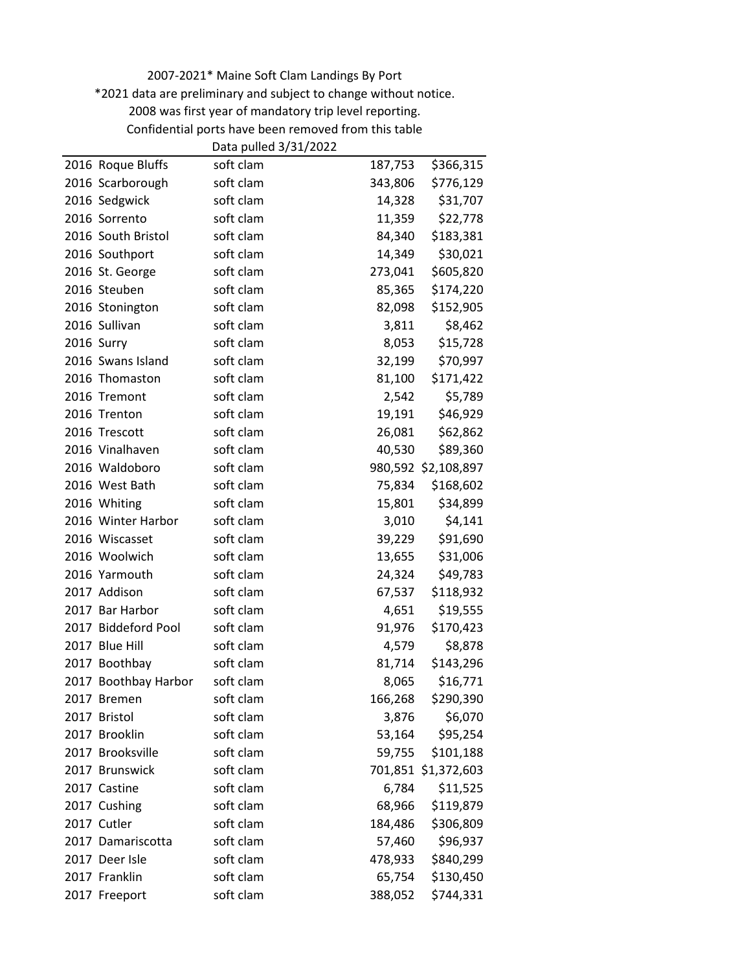\*2021 data are preliminary and subject to change without notice.

Confidential ports have been removed from this table

|                      | Data pulled 3/31/2022 |         |                     |
|----------------------|-----------------------|---------|---------------------|
| 2016 Roque Bluffs    | soft clam             | 187,753 | \$366,315           |
| 2016 Scarborough     | soft clam             | 343,806 | \$776,129           |
| 2016 Sedgwick        | soft clam             | 14,328  | \$31,707            |
| 2016 Sorrento        | soft clam             | 11,359  | \$22,778            |
| 2016 South Bristol   | soft clam             | 84,340  | \$183,381           |
| 2016 Southport       | soft clam             | 14,349  | \$30,021            |
| 2016 St. George      | soft clam             | 273,041 | \$605,820           |
| 2016 Steuben         | soft clam             | 85,365  | \$174,220           |
| 2016 Stonington      | soft clam             | 82,098  | \$152,905           |
| 2016 Sullivan        | soft clam             | 3,811   | \$8,462             |
| 2016 Surry           | soft clam             | 8,053   | \$15,728            |
| 2016 Swans Island    | soft clam             | 32,199  | \$70,997            |
| 2016 Thomaston       | soft clam             | 81,100  | \$171,422           |
| 2016 Tremont         | soft clam             | 2,542   | \$5,789             |
| 2016 Trenton         | soft clam             | 19,191  | \$46,929            |
| 2016 Trescott        | soft clam             | 26,081  | \$62,862            |
| 2016 Vinalhaven      | soft clam             | 40,530  | \$89,360            |
| 2016 Waldoboro       | soft clam             |         | 980,592 \$2,108,897 |
| 2016 West Bath       | soft clam             | 75,834  | \$168,602           |
| 2016 Whiting         | soft clam             | 15,801  | \$34,899            |
| 2016 Winter Harbor   | soft clam             | 3,010   | \$4,141             |
| 2016 Wiscasset       | soft clam             | 39,229  | \$91,690            |
| 2016 Woolwich        | soft clam             | 13,655  | \$31,006            |
| 2016 Yarmouth        | soft clam             | 24,324  | \$49,783            |
| 2017 Addison         | soft clam             | 67,537  | \$118,932           |
| 2017 Bar Harbor      | soft clam             | 4,651   | \$19,555            |
| 2017 Biddeford Pool  | soft clam             | 91,976  | \$170,423           |
| 2017 Blue Hill       | soft clam             | 4,579   | \$8,878             |
| 2017 Boothbay        | soft clam             | 81,714  | \$143,296           |
| 2017 Boothbay Harbor | soft clam             | 8,065   | \$16,771            |
| 2017 Bremen          | soft clam             | 166,268 | \$290,390           |
| 2017 Bristol         | soft clam             | 3,876   | \$6,070             |
| 2017 Brooklin        | soft clam             | 53,164  | \$95,254            |
| 2017 Brooksville     | soft clam             | 59,755  | \$101,188           |
| 2017 Brunswick       | soft clam             |         | 701,851 \$1,372,603 |
| 2017 Castine         | soft clam             | 6,784   | \$11,525            |
| 2017 Cushing         | soft clam             | 68,966  | \$119,879           |
| 2017 Cutler          | soft clam             | 184,486 | \$306,809           |
| 2017 Damariscotta    | soft clam             | 57,460  | \$96,937            |
| 2017 Deer Isle       | soft clam             | 478,933 | \$840,299           |
| 2017 Franklin        | soft clam             | 65,754  | \$130,450           |
| 2017 Freeport        | soft clam             | 388,052 | \$744,331           |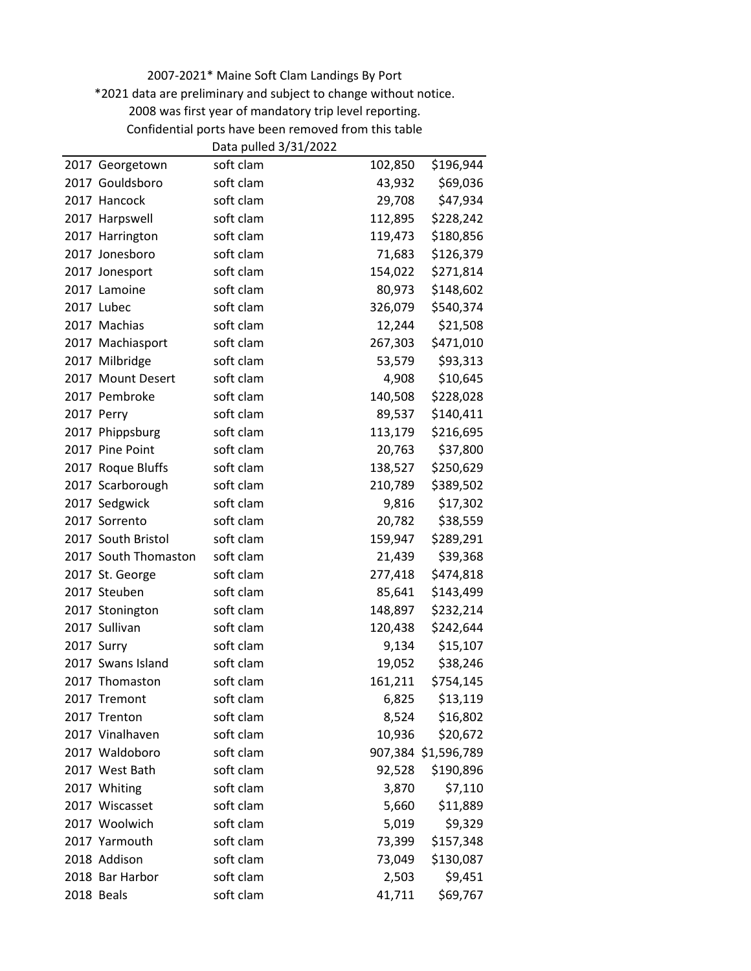\*2021 data are preliminary and subject to change without notice.

Confidential ports have been removed from this table

|                      | Data pulled 3/31/2022 |         |                     |
|----------------------|-----------------------|---------|---------------------|
| 2017 Georgetown      | soft clam             | 102,850 | \$196,944           |
| 2017 Gouldsboro      | soft clam             | 43,932  | \$69,036            |
| 2017 Hancock         | soft clam             | 29,708  | \$47,934            |
| 2017 Harpswell       | soft clam             | 112,895 | \$228,242           |
| 2017 Harrington      | soft clam             | 119,473 | \$180,856           |
| 2017 Jonesboro       | soft clam             | 71,683  | \$126,379           |
| 2017 Jonesport       | soft clam             | 154,022 | \$271,814           |
| 2017 Lamoine         | soft clam             | 80,973  | \$148,602           |
| 2017 Lubec           | soft clam             | 326,079 | \$540,374           |
| 2017 Machias         | soft clam             | 12,244  | \$21,508            |
| 2017 Machiasport     | soft clam             | 267,303 | \$471,010           |
| 2017 Milbridge       | soft clam             | 53,579  | \$93,313            |
| 2017 Mount Desert    | soft clam             | 4,908   | \$10,645            |
| 2017 Pembroke        | soft clam             | 140,508 | \$228,028           |
| 2017 Perry           | soft clam             | 89,537  | \$140,411           |
| 2017 Phippsburg      | soft clam             | 113,179 | \$216,695           |
| 2017 Pine Point      | soft clam             | 20,763  | \$37,800            |
| 2017 Roque Bluffs    | soft clam             | 138,527 | \$250,629           |
| 2017 Scarborough     | soft clam             | 210,789 | \$389,502           |
| 2017 Sedgwick        | soft clam             | 9,816   | \$17,302            |
| 2017 Sorrento        | soft clam             | 20,782  | \$38,559            |
| 2017 South Bristol   | soft clam             | 159,947 | \$289,291           |
| 2017 South Thomaston | soft clam             | 21,439  | \$39,368            |
| 2017 St. George      | soft clam             | 277,418 | \$474,818           |
| 2017 Steuben         | soft clam             | 85,641  | \$143,499           |
| 2017 Stonington      | soft clam             | 148,897 | \$232,214           |
| 2017 Sullivan        | soft clam             | 120,438 | \$242,644           |
| 2017 Surry           | soft clam             | 9,134   | \$15,107            |
| 2017 Swans Island    | soft clam             | 19,052  | \$38,246            |
| 2017 Thomaston       | soft clam             | 161,211 | \$754,145           |
| 2017 Tremont         | soft clam             | 6,825   | \$13,119            |
| 2017 Trenton         | soft clam             | 8,524   | \$16,802            |
| 2017 Vinalhaven      | soft clam             | 10,936  | \$20,672            |
| 2017 Waldoboro       | soft clam             |         | 907,384 \$1,596,789 |
| 2017 West Bath       | soft clam             | 92,528  | \$190,896           |
| 2017 Whiting         | soft clam             | 3,870   | \$7,110             |
| 2017 Wiscasset       | soft clam             | 5,660   | \$11,889            |
| 2017 Woolwich        | soft clam             | 5,019   | \$9,329             |
| 2017 Yarmouth        | soft clam             | 73,399  | \$157,348           |
| 2018 Addison         | soft clam             | 73,049  | \$130,087           |
| 2018 Bar Harbor      | soft clam             | 2,503   | \$9,451             |
| 2018 Beals           | soft clam             | 41,711  | \$69,767            |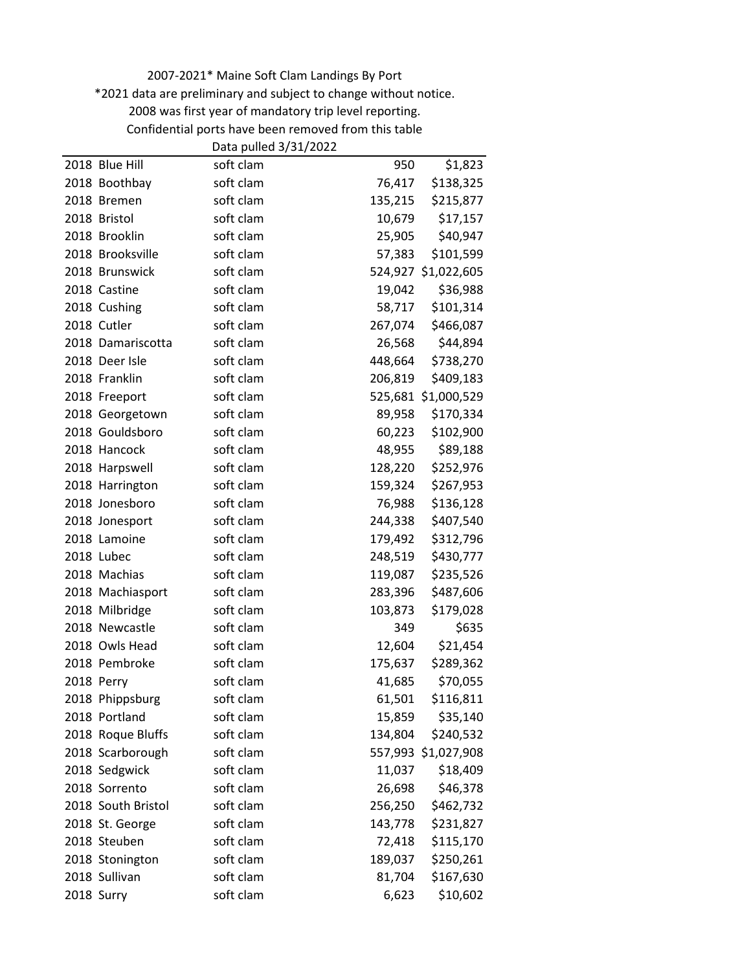\*2021 data are preliminary and subject to change without notice.

Confidential ports have been removed from this table

|                    | Data pulled 3/31/2022 |         |                     |
|--------------------|-----------------------|---------|---------------------|
| 2018 Blue Hill     | soft clam             | 950     | \$1,823             |
| 2018 Boothbay      | soft clam             | 76,417  | \$138,325           |
| 2018 Bremen        | soft clam             | 135,215 | \$215,877           |
| 2018 Bristol       | soft clam             | 10,679  | \$17,157            |
| 2018 Brooklin      | soft clam             | 25,905  | \$40,947            |
| 2018 Brooksville   | soft clam             | 57,383  | \$101,599           |
| 2018 Brunswick     | soft clam             | 524,927 | \$1,022,605         |
| 2018 Castine       | soft clam             | 19,042  | \$36,988            |
| 2018 Cushing       | soft clam             | 58,717  | \$101,314           |
| 2018 Cutler        | soft clam             | 267,074 | \$466,087           |
| 2018 Damariscotta  | soft clam             | 26,568  | \$44,894            |
| 2018 Deer Isle     | soft clam             | 448,664 | \$738,270           |
| 2018 Franklin      | soft clam             | 206,819 | \$409,183           |
| 2018 Freeport      | soft clam             |         | 525,681 \$1,000,529 |
| 2018 Georgetown    | soft clam             | 89,958  | \$170,334           |
| 2018 Gouldsboro    | soft clam             | 60,223  | \$102,900           |
| 2018 Hancock       | soft clam             | 48,955  | \$89,188            |
| 2018 Harpswell     | soft clam             | 128,220 | \$252,976           |
| 2018 Harrington    | soft clam             | 159,324 | \$267,953           |
| 2018 Jonesboro     | soft clam             | 76,988  | \$136,128           |
| 2018 Jonesport     | soft clam             | 244,338 | \$407,540           |
| 2018 Lamoine       | soft clam             | 179,492 | \$312,796           |
| 2018 Lubec         | soft clam             | 248,519 | \$430,777           |
| 2018 Machias       | soft clam             | 119,087 | \$235,526           |
| 2018 Machiasport   | soft clam             | 283,396 | \$487,606           |
| 2018 Milbridge     | soft clam             | 103,873 | \$179,028           |
| 2018 Newcastle     | soft clam             | 349     | \$635               |
| 2018 Owls Head     | soft clam             | 12,604  | \$21,454            |
| 2018 Pembroke      | soft clam             | 175,637 | \$289,362           |
| 2018 Perry         | soft clam             | 41,685  | \$70,055            |
| 2018 Phippsburg    | soft clam             | 61,501  | \$116,811           |
| 2018 Portland      | soft clam             | 15,859  | \$35,140            |
| 2018 Roque Bluffs  | soft clam             | 134,804 | \$240,532           |
| 2018 Scarborough   | soft clam             |         | 557,993 \$1,027,908 |
| 2018 Sedgwick      | soft clam             | 11,037  | \$18,409            |
| 2018 Sorrento      | soft clam             | 26,698  | \$46,378            |
| 2018 South Bristol | soft clam             | 256,250 | \$462,732           |
| 2018 St. George    | soft clam             | 143,778 | \$231,827           |
| 2018 Steuben       | soft clam             | 72,418  | \$115,170           |
| 2018 Stonington    | soft clam             | 189,037 | \$250,261           |
| 2018 Sullivan      | soft clam             | 81,704  | \$167,630           |
| 2018 Surry         | soft clam             | 6,623   | \$10,602            |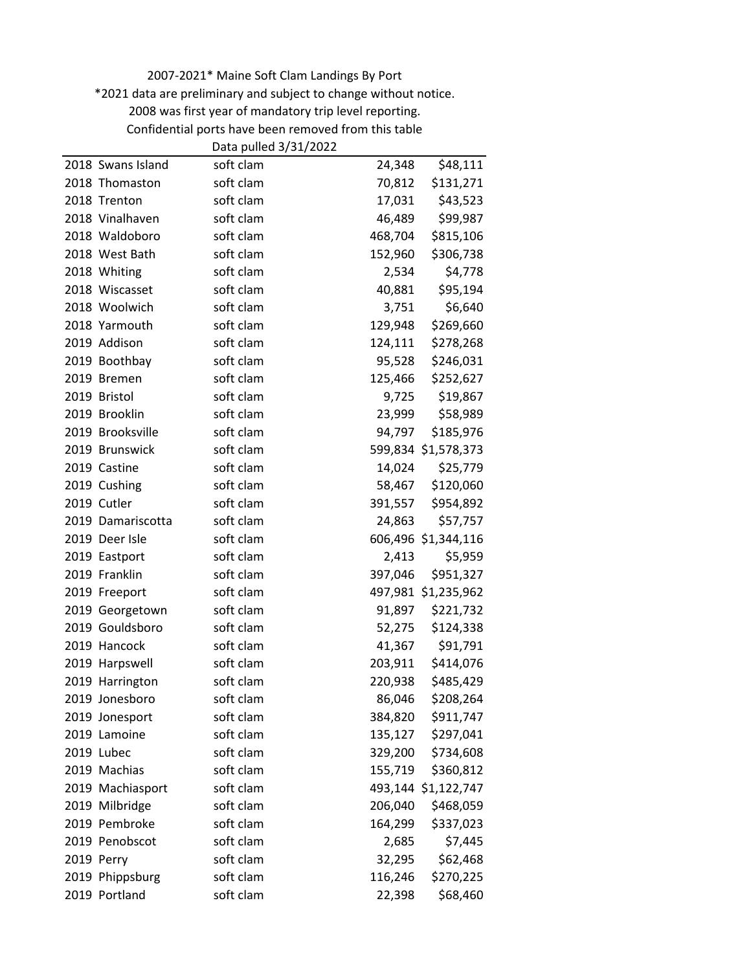\*2021 data are preliminary and subject to change without notice.

Confidential ports have been removed from this table

|                   | Data pulled 3/31/2022 |         |                     |
|-------------------|-----------------------|---------|---------------------|
| 2018 Swans Island | soft clam             | 24,348  | \$48,111            |
| 2018 Thomaston    | soft clam             | 70,812  | \$131,271           |
| 2018 Trenton      | soft clam             | 17,031  | \$43,523            |
| 2018 Vinalhaven   | soft clam             | 46,489  | \$99,987            |
| 2018 Waldoboro    | soft clam             | 468,704 | \$815,106           |
| 2018 West Bath    | soft clam             | 152,960 | \$306,738           |
| 2018 Whiting      | soft clam             | 2,534   | \$4,778             |
| 2018 Wiscasset    | soft clam             | 40,881  | \$95,194            |
| 2018 Woolwich     | soft clam             | 3,751   | \$6,640             |
| 2018 Yarmouth     | soft clam             | 129,948 | \$269,660           |
| 2019 Addison      | soft clam             | 124,111 | \$278,268           |
| 2019 Boothbay     | soft clam             | 95,528  | \$246,031           |
| 2019 Bremen       | soft clam             | 125,466 | \$252,627           |
| 2019 Bristol      | soft clam             | 9,725   | \$19,867            |
| 2019 Brooklin     | soft clam             | 23,999  | \$58,989            |
| 2019 Brooksville  | soft clam             | 94,797  | \$185,976           |
| 2019 Brunswick    | soft clam             |         | 599,834 \$1,578,373 |
| 2019 Castine      | soft clam             | 14,024  | \$25,779            |
| 2019 Cushing      | soft clam             | 58,467  | \$120,060           |
| 2019 Cutler       | soft clam             | 391,557 | \$954,892           |
| 2019 Damariscotta | soft clam             | 24,863  | \$57,757            |
| 2019 Deer Isle    | soft clam             |         | 606,496 \$1,344,116 |
| 2019 Eastport     | soft clam             | 2,413   | \$5,959             |
| 2019 Franklin     | soft clam             | 397,046 | \$951,327           |
| 2019 Freeport     | soft clam             |         | 497,981 \$1,235,962 |
| 2019 Georgetown   | soft clam             | 91,897  | \$221,732           |
| 2019 Gouldsboro   | soft clam             | 52,275  | \$124,338           |
| 2019 Hancock      | soft clam             | 41,367  | \$91,791            |
| 2019 Harpswell    | soft clam             | 203,911 | \$414,076           |
| 2019 Harrington   | soft clam             | 220,938 | \$485,429           |
| 2019 Jonesboro    | soft clam             | 86,046  | \$208,264           |
| 2019 Jonesport    | soft clam             | 384,820 | \$911,747           |
| 2019 Lamoine      | soft clam             | 135,127 | \$297,041           |
| 2019 Lubec        | soft clam             | 329,200 | \$734,608           |
| 2019 Machias      | soft clam             | 155,719 | \$360,812           |
| 2019 Machiasport  | soft clam             |         | 493,144 \$1,122,747 |
| 2019 Milbridge    | soft clam             | 206,040 | \$468,059           |
| 2019 Pembroke     | soft clam             | 164,299 | \$337,023           |
| 2019 Penobscot    | soft clam             | 2,685   | \$7,445             |
| 2019 Perry        | soft clam             | 32,295  | \$62,468            |
| 2019 Phippsburg   | soft clam             | 116,246 | \$270,225           |
| 2019 Portland     | soft clam             | 22,398  | \$68,460            |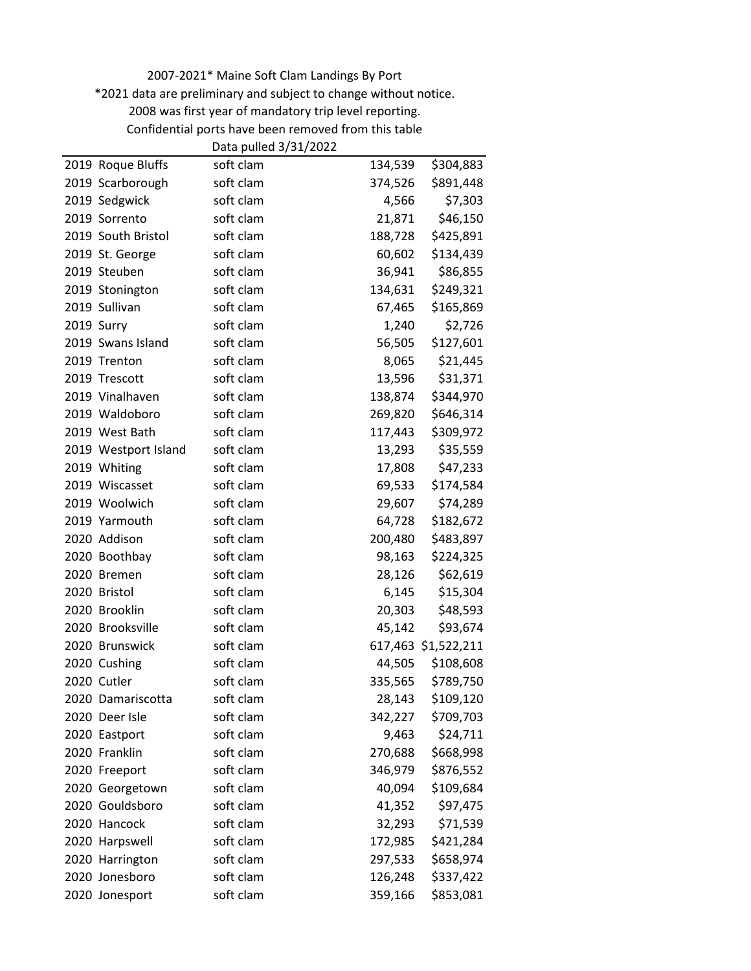\*2021 data are preliminary and subject to change without notice.

Confidential ports have been removed from this table

|                      | Data pulled 3/31/2022 |         |                     |
|----------------------|-----------------------|---------|---------------------|
| 2019 Roque Bluffs    | soft clam             | 134,539 | \$304,883           |
| 2019 Scarborough     | soft clam             | 374,526 | \$891,448           |
| 2019 Sedgwick        | soft clam             | 4,566   | \$7,303             |
| 2019 Sorrento        | soft clam             | 21,871  | \$46,150            |
| 2019 South Bristol   | soft clam             | 188,728 | \$425,891           |
| 2019 St. George      | soft clam             | 60,602  | \$134,439           |
| 2019 Steuben         | soft clam             | 36,941  | \$86,855            |
| 2019 Stonington      | soft clam             | 134,631 | \$249,321           |
| 2019 Sullivan        | soft clam             | 67,465  | \$165,869           |
| 2019 Surry           | soft clam             | 1,240   | \$2,726             |
| 2019 Swans Island    | soft clam             | 56,505  | \$127,601           |
| 2019 Trenton         | soft clam             | 8,065   | \$21,445            |
| 2019 Trescott        | soft clam             | 13,596  | \$31,371            |
| 2019 Vinalhaven      | soft clam             | 138,874 | \$344,970           |
| 2019 Waldoboro       | soft clam             | 269,820 | \$646,314           |
| 2019 West Bath       | soft clam             | 117,443 | \$309,972           |
| 2019 Westport Island | soft clam             | 13,293  | \$35,559            |
| 2019 Whiting         | soft clam             | 17,808  | \$47,233            |
| 2019 Wiscasset       | soft clam             | 69,533  | \$174,584           |
| 2019 Woolwich        | soft clam             | 29,607  | \$74,289            |
| 2019 Yarmouth        | soft clam             | 64,728  | \$182,672           |
| 2020 Addison         | soft clam             | 200,480 | \$483,897           |
| 2020 Boothbay        | soft clam             | 98,163  | \$224,325           |
| 2020 Bremen          | soft clam             | 28,126  | \$62,619            |
| 2020 Bristol         | soft clam             | 6,145   | \$15,304            |
| 2020 Brooklin        | soft clam             | 20,303  | \$48,593            |
| 2020 Brooksville     | soft clam             | 45,142  | \$93,674            |
| 2020 Brunswick       | soft clam             |         | 617,463 \$1,522,211 |
| 2020 Cushing         | soft clam             | 44,505  | \$108,608           |
| 2020 Cutler          | soft clam             | 335,565 | \$789,750           |
| 2020 Damariscotta    | soft clam             | 28,143  | \$109,120           |
| 2020 Deer Isle       | soft clam             | 342,227 | \$709,703           |
| 2020 Eastport        | soft clam             | 9,463   | \$24,711            |
| 2020 Franklin        | soft clam             | 270,688 | \$668,998           |
| 2020 Freeport        | soft clam             | 346,979 | \$876,552           |
| 2020 Georgetown      | soft clam             | 40,094  | \$109,684           |
| 2020 Gouldsboro      | soft clam             | 41,352  | \$97,475            |
| 2020 Hancock         | soft clam             | 32,293  | \$71,539            |
| 2020 Harpswell       | soft clam             | 172,985 | \$421,284           |
| 2020 Harrington      | soft clam             | 297,533 | \$658,974           |
| 2020 Jonesboro       | soft clam             | 126,248 | \$337,422           |
| 2020 Jonesport       | soft clam             | 359,166 | \$853,081           |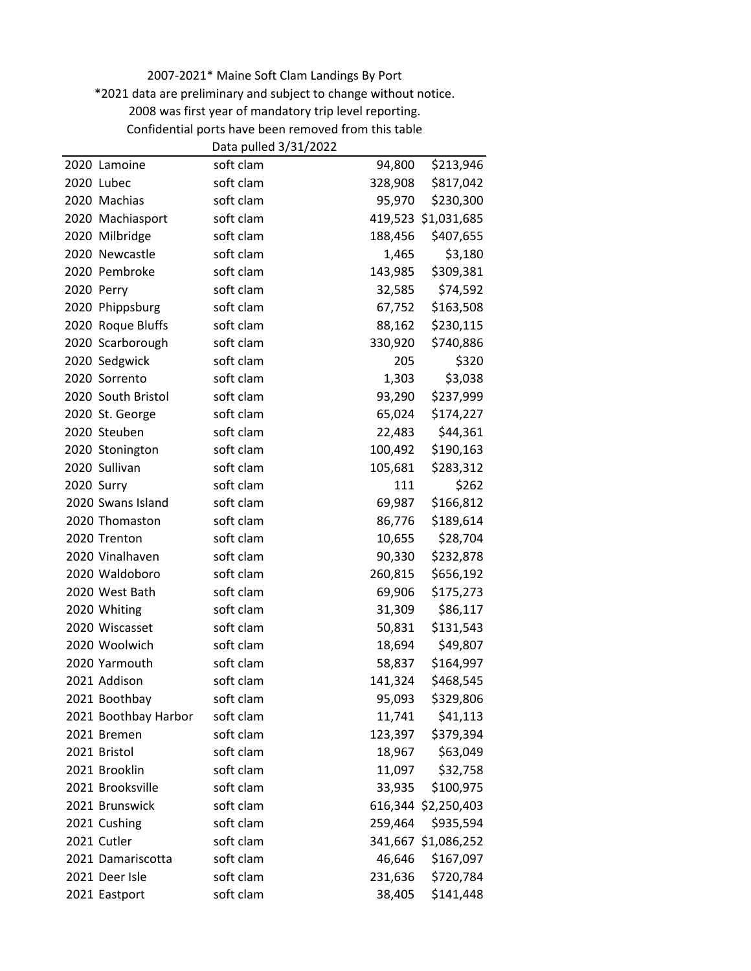\*2021 data are preliminary and subject to change without notice.

Confidential ports have been removed from this table

|                      | Data pulled 3/31/2022 |         |                     |
|----------------------|-----------------------|---------|---------------------|
| 2020 Lamoine         | soft clam             | 94,800  | \$213,946           |
| 2020 Lubec           | soft clam             | 328,908 | \$817,042           |
| 2020 Machias         | soft clam             | 95,970  | \$230,300           |
| 2020 Machiasport     | soft clam             |         | 419,523 \$1,031,685 |
| 2020 Milbridge       | soft clam             | 188,456 | \$407,655           |
| 2020 Newcastle       | soft clam             | 1,465   | \$3,180             |
| 2020 Pembroke        | soft clam             | 143,985 | \$309,381           |
| 2020 Perry           | soft clam             | 32,585  | \$74,592            |
| 2020 Phippsburg      | soft clam             | 67,752  | \$163,508           |
| 2020 Roque Bluffs    | soft clam             | 88,162  | \$230,115           |
| 2020 Scarborough     | soft clam             | 330,920 | \$740,886           |
| 2020 Sedgwick        | soft clam             | 205     | \$320               |
| 2020 Sorrento        | soft clam             | 1,303   | \$3,038             |
| 2020 South Bristol   | soft clam             | 93,290  | \$237,999           |
| 2020 St. George      | soft clam             | 65,024  | \$174,227           |
| 2020 Steuben         | soft clam             | 22,483  | \$44,361            |
| 2020 Stonington      | soft clam             | 100,492 | \$190,163           |
| 2020 Sullivan        | soft clam             | 105,681 | \$283,312           |
| 2020 Surry           | soft clam             | 111     | \$262               |
| 2020 Swans Island    | soft clam             | 69,987  | \$166,812           |
| 2020 Thomaston       | soft clam             | 86,776  | \$189,614           |
| 2020 Trenton         | soft clam             | 10,655  | \$28,704            |
| 2020 Vinalhaven      | soft clam             | 90,330  | \$232,878           |
| 2020 Waldoboro       | soft clam             | 260,815 | \$656,192           |
| 2020 West Bath       | soft clam             | 69,906  | \$175,273           |
| 2020 Whiting         | soft clam             | 31,309  | \$86,117            |
| 2020 Wiscasset       | soft clam             | 50,831  | \$131,543           |
| 2020 Woolwich        | soft clam             | 18,694  | \$49,807            |
| 2020 Yarmouth        | soft clam             | 58,837  | \$164,997           |
| 2021 Addison         | soft clam             | 141,324 | \$468,545           |
| 2021 Boothbay        | soft clam             | 95,093  | \$329,806           |
| 2021 Boothbay Harbor | soft clam             | 11,741  | \$41,113            |
| 2021 Bremen          | soft clam             | 123,397 | \$379,394           |
| 2021 Bristol         | soft clam             | 18,967  | \$63,049            |
| 2021 Brooklin        | soft clam             | 11,097  | \$32,758            |
| 2021 Brooksville     | soft clam             | 33,935  | \$100,975           |
| 2021 Brunswick       | soft clam             |         | 616,344 \$2,250,403 |
| 2021 Cushing         | soft clam             | 259,464 | \$935,594           |
| 2021 Cutler          | soft clam             |         | 341,667 \$1,086,252 |
| 2021 Damariscotta    | soft clam             | 46,646  | \$167,097           |
| 2021 Deer Isle       | soft clam             | 231,636 | \$720,784           |
| 2021 Eastport        | soft clam             | 38,405  | \$141,448           |